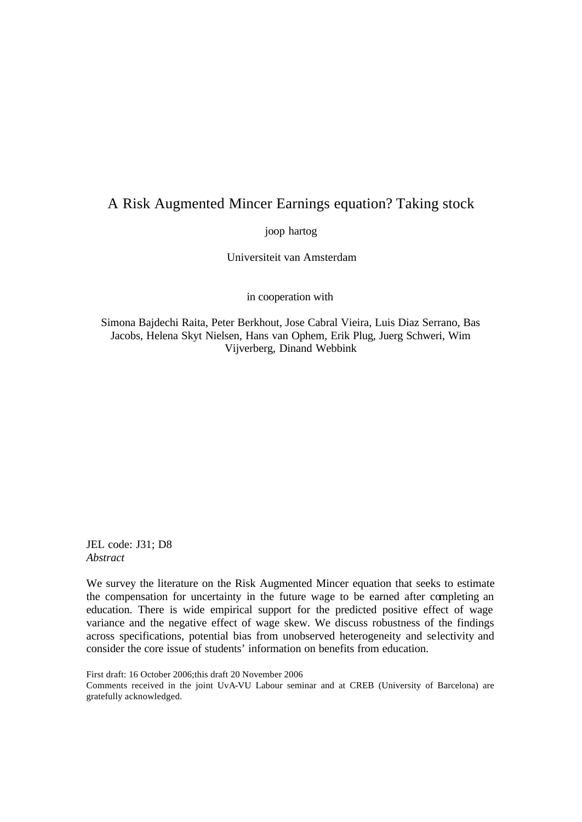# A Risk Augmented Mincer Earnings equation? Taking stock

joop hartog

Universiteit van Amsterdam

in cooperation with

Simona Bajdechi Raita, Peter Berkhout, Jose Cabral Vieira, Luis Diaz Serrano, Bas Jacobs, Helena Skyt Nielsen, Hans van Ophem, Erik Plug, Juerg Schweri, Wim Vijverberg, Dinand Webbink

JEL code: J31; D8 *Abstract*

We survey the literature on the Risk Augmented Mincer equation that seeks to estimate the compensation for uncertainty in the future wage to be earned after completing an education. There is wide empirical support for the predicted positive effect of wage variance and the negative effect of wage skew. We discuss robustness of the findings across specifications, potential bias from unobserved heterogeneity and selectivity and consider the core issue of students' information on benefits from education.

First draft: 16 October 2006;this draft 20 November 2006

Comments received in the joint UvA-VU Labour seminar and at CREB (University of Barcelona) are gratefully acknowledged.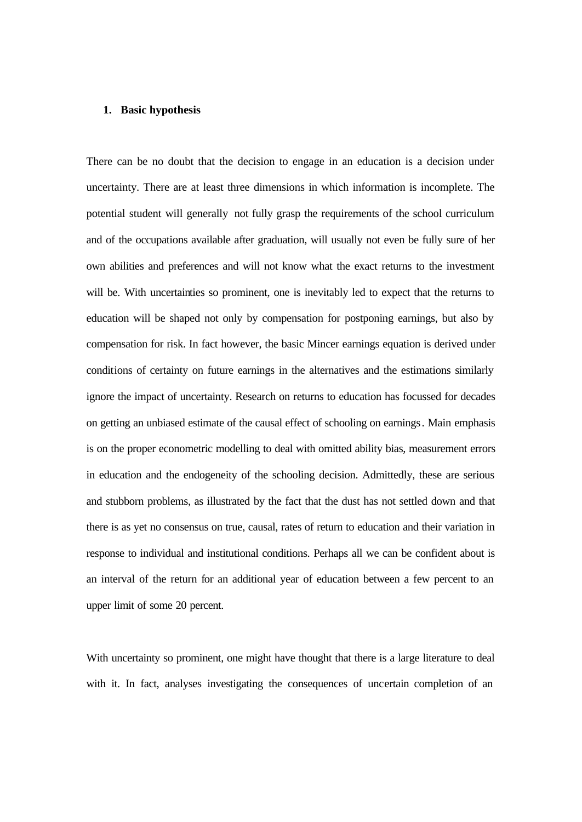#### **1. Basic hypothesis**

There can be no doubt that the decision to engage in an education is a decision under uncertainty. There are at least three dimensions in which information is incomplete. The potential student will generally not fully grasp the requirements of the school curriculum and of the occupations available after graduation, will usually not even be fully sure of her own abilities and preferences and will not know what the exact returns to the investment will be. With uncertainties so prominent, one is inevitably led to expect that the returns to education will be shaped not only by compensation for postponing earnings, but also by compensation for risk. In fact however, the basic Mincer earnings equation is derived under conditions of certainty on future earnings in the alternatives and the estimations similarly ignore the impact of uncertainty. Research on returns to education has focussed for decades on getting an unbiased estimate of the causal effect of schooling on earnings. Main emphasis is on the proper econometric modelling to deal with omitted ability bias, measurement errors in education and the endogeneity of the schooling decision. Admittedly, these are serious and stubborn problems, as illustrated by the fact that the dust has not settled down and that there is as yet no consensus on true, causal, rates of return to education and their variation in response to individual and institutional conditions. Perhaps all we can be confident about is an interval of the return for an additional year of education between a few percent to an upper limit of some 20 percent.

With uncertainty so prominent, one might have thought that there is a large literature to deal with it. In fact, analyses investigating the consequences of uncertain completion of an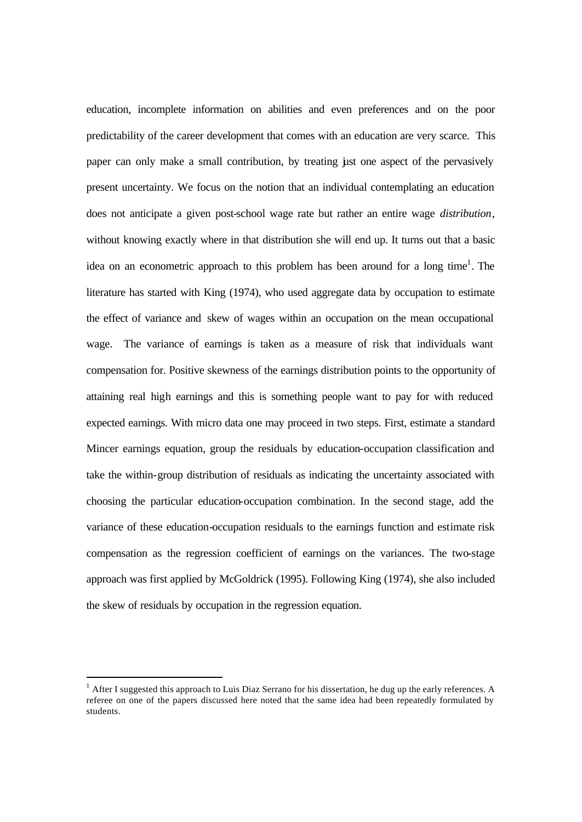education, incomplete information on abilities and even preferences and on the poor predictability of the career development that comes with an education are very scarce. This paper can only make a small contribution, by treating just one aspect of the pervasively present uncertainty. We focus on the notion that an individual contemplating an education does not anticipate a given post-school wage rate but rather an entire wage *distribution*, without knowing exactly where in that distribution she will end up. It turns out that a basic idea on an econometric approach to this problem has been around for a long time<sup>1</sup>. The literature has started with King (1974), who used aggregate data by occupation to estimate the effect of variance and skew of wages within an occupation on the mean occupational wage. The variance of earnings is taken as a measure of risk that individuals want compensation for. Positive skewness of the earnings distribution points to the opportunity of attaining real high earnings and this is something people want to pay for with reduced expected earnings. With micro data one may proceed in two steps. First, estimate a standard Mincer earnings equation, group the residuals by education-occupation classification and take the within-group distribution of residuals as indicating the uncertainty associated with choosing the particular education-occupation combination. In the second stage, add the variance of these education-occupation residuals to the earnings function and estimate risk compensation as the regression coefficient of earnings on the variances. The two-stage approach was first applied by McGoldrick (1995). Following King (1974), she also included the skew of residuals by occupation in the regression equation.

 $\overline{a}$ 

<sup>&</sup>lt;sup>1</sup> After I suggested this approach to Luis Diaz Serrano for his dissertation, he dug up the early references. A referee on one of the papers discussed here noted that the same idea had been repeatedly formulated by students.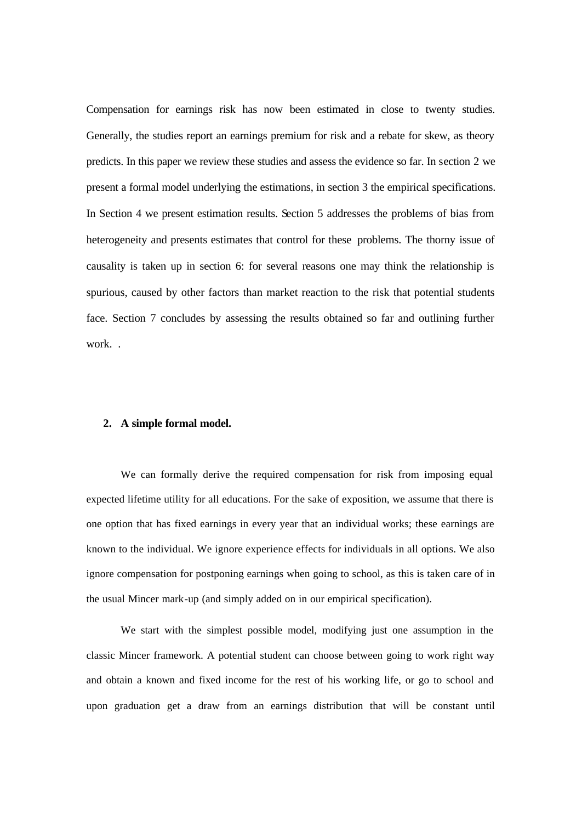Compensation for earnings risk has now been estimated in close to twenty studies. Generally, the studies report an earnings premium for risk and a rebate for skew, as theory predicts. In this paper we review these studies and assess the evidence so far. In section 2 we present a formal model underlying the estimations, in section 3 the empirical specifications. In Section 4 we present estimation results. Section 5 addresses the problems of bias from heterogeneity and presents estimates that control for these problems. The thorny issue of causality is taken up in section 6: for several reasons one may think the relationship is spurious, caused by other factors than market reaction to the risk that potential students face. Section 7 concludes by assessing the results obtained so far and outlining further work. .

#### **2. A simple formal model.**

We can formally derive the required compensation for risk from imposing equal expected lifetime utility for all educations. For the sake of exposition, we assume that there is one option that has fixed earnings in every year that an individual works; these earnings are known to the individual. We ignore experience effects for individuals in all options. We also ignore compensation for postponing earnings when going to school, as this is taken care of in the usual Mincer mark-up (and simply added on in our empirical specification).

We start with the simplest possible model, modifying just one assumption in the classic Mincer framework. A potential student can choose between going to work right way and obtain a known and fixed income for the rest of his working life, or go to school and upon graduation get a draw from an earnings distribution that will be constant until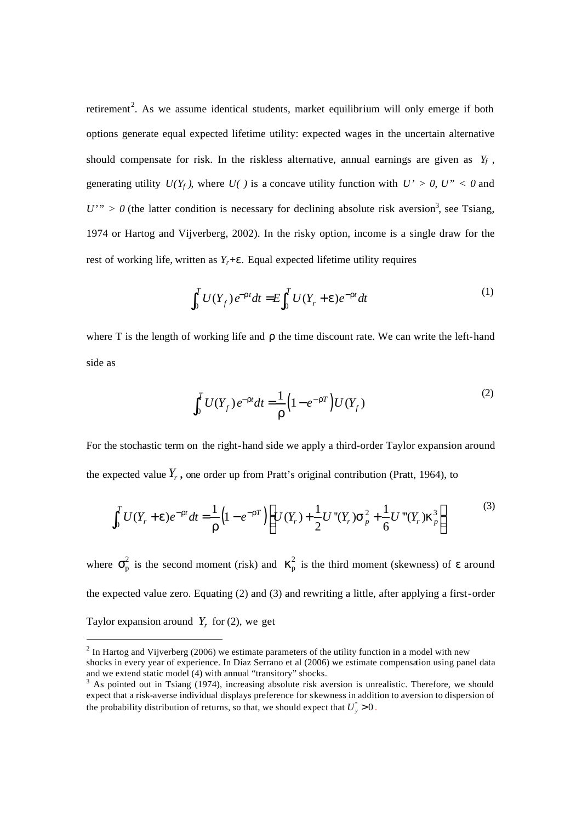retirement<sup>2</sup>. As we assume identical students, market equilibrium will only emerge if both options generate equal expected lifetime utility: expected wages in the uncertain alternative should compensate for risk. In the riskless alternative, annual earnings are given as  $Y_f$ , generating utility  $U(Y_f)$ , where  $U(j)$  is a concave utility function with  $U' > 0$ ,  $U'' < 0$  and  $U'' > 0$  (the latter condition is necessary for declining absolute risk aversion<sup>3</sup>, see Tsiang, 1974 or Hartog and Vijverberg, 2002). In the risky option, income is a single draw for the rest of working life, written as  $Y_r + e$ . Equal expected lifetime utility requires

$$
\int_0^T U(Y_f) e^{-rt} dt = E \int_0^T U(Y_r + \mathbf{e}) e^{-rt} dt \tag{1}
$$

where T is the length of working life and r the time discount rate. We can write the left-hand side as

$$
\int_0^T U(Y_f) e^{-rt} dt = \frac{1}{r} \Big( 1 - e^{-rT} \Big) U(Y_f)
$$
 (2)

For the stochastic term on the right-hand side we apply a third-order Taylor expansion around the expected value  $Y_r$ , one order up from Pratt's original contribution (Pratt, 1964), to

$$
\int_0^T U(Y_r + \mathbf{e}) e^{-\mathbf{r}t} dt = \frac{1}{T} \Big( 1 - e^{-\mathbf{r}T} \Big) \Bigg[ U(Y_r) + \frac{1}{2} U''(Y_r) \mathbf{S}_p^2 + \frac{1}{6} U'''(Y_r) \mathbf{k}_p^3 \Bigg] \tag{3}
$$

where  $\sigma_p^2$  is the second moment (risk) and  $\kappa_p^2$  is the third moment (skewness) of *e* around the expected value zero. Equating (2) and (3) and rewriting a little, after applying a first-order Taylor expansion around  $Y_r$  for (2), we get

 $2^{2}$  In Hartog and Vijverberg (2006) we estimate parameters of the utility function in a model with new shocks in every year of experience. In Diaz Serrano et al (2006) we estimate compensation using panel data and we extend static model (4) with annual "transitory" shocks.

 $3$  As pointed out in Tsiang (1974), increasing absolute risk aversion is unrealistic. Therefore, we should expect that a risk-averse individual displays preference for skewness in addition to aversion to dispersion of the probability distribution of returns, so that, we should expect that  $U^*$  > 0.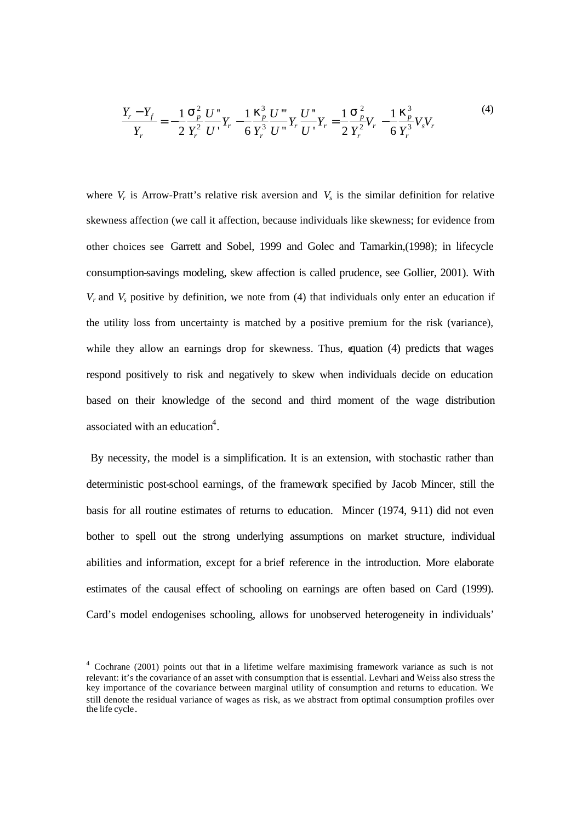$$
\frac{Y_r - Y_f}{Y_r} = -\frac{1}{2} \frac{\mathbf{s}_p^2}{Y_r^2} \frac{U''}{U'} Y_r - \frac{1}{6} \frac{\mathbf{k}_p^3}{Y_r^3} \frac{U'''}{U''} Y_r \frac{U''}{U'} Y_r = \frac{1}{2} \frac{\mathbf{s}_p^2}{Y_r^2} V_r - \frac{1}{6} \frac{\mathbf{k}_p^3}{Y_r^3} V_s V_r
$$
\n(4)

where  $V_r$  is Arrow-Pratt's relative risk aversion and  $V_s$  is the similar definition for relative skewness affection (we call it affection, because individuals like skewness; for evidence from other choices see Garrett and Sobel, 1999 and Golec and Tamarkin,(1998); in lifecycle consumption-savings modeling, skew affection is called prudence, see Gollier, 2001). With  $V_r$  and  $V_s$  positive by definition, we note from (4) that individuals only enter an education if the utility loss from uncertainty is matched by a positive premium for the risk (variance), while they allow an earnings drop for skewness. Thus, quation (4) predicts that wages respond positively to risk and negatively to skew when individuals decide on education based on their knowledge of the second and third moment of the wage distribution associated with an education<sup>4</sup>.

 By necessity, the model is a simplification. It is an extension, with stochastic rather than deterministic post-school earnings, of the framework specified by Jacob Mincer, still the basis for all routine estimates of returns to education. Mincer (1974, 911) did not even bother to spell out the strong underlying assumptions on market structure, individual abilities and information, except for a brief reference in the introduction. More elaborate estimates of the causal effect of schooling on earnings are often based on Card (1999). Card's model endogenises schooling, allows for unobserved heterogeneity in individuals'

<sup>4</sup> Cochrane (2001) points out that in a lifetime welfare maximising framework variance as such is not relevant: it's the covariance of an asset with consumption that is essential. Levhari and Weiss also stress the key importance of the covariance between marginal utility of consumption and returns to education. We still denote the residual variance of wages as risk, as we abstract from optimal consumption profiles over the life cycle.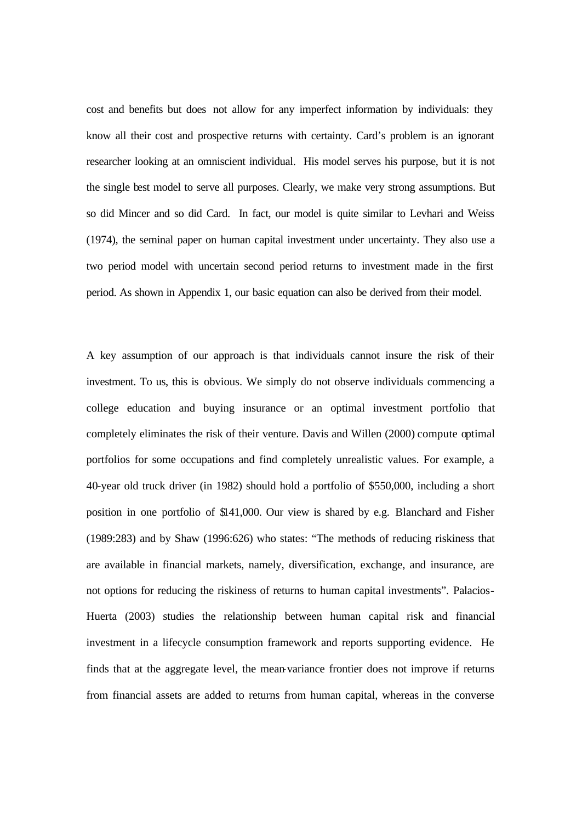cost and benefits but does not allow for any imperfect information by individuals: they know all their cost and prospective returns with certainty. Card's problem is an ignorant researcher looking at an omniscient individual. His model serves his purpose, but it is not the single best model to serve all purposes. Clearly, we make very strong assumptions. But so did Mincer and so did Card. In fact, our model is quite similar to Levhari and Weiss (1974), the seminal paper on human capital investment under uncertainty. They also use a two period model with uncertain second period returns to investment made in the first period. As shown in Appendix 1, our basic equation can also be derived from their model.

A key assumption of our approach is that individuals cannot insure the risk of their investment. To us, this is obvious. We simply do not observe individuals commencing a college education and buying insurance or an optimal investment portfolio that completely eliminates the risk of their venture. Davis and Willen (2000) compute optimal portfolios for some occupations and find completely unrealistic values. For example, a 40-year old truck driver (in 1982) should hold a portfolio of \$550,000, including a short position in one portfolio of \$141,000. Our view is shared by e.g. Blanchard and Fisher (1989:283) and by Shaw (1996:626) who states: "The methods of reducing riskiness that are available in financial markets, namely, diversification, exchange, and insurance, are not options for reducing the riskiness of returns to human capital investments". Palacios-Huerta (2003) studies the relationship between human capital risk and financial investment in a lifecycle consumption framework and reports supporting evidence. He finds that at the aggregate level, the mean-variance frontier does not improve if returns from financial assets are added to returns from human capital, whereas in the converse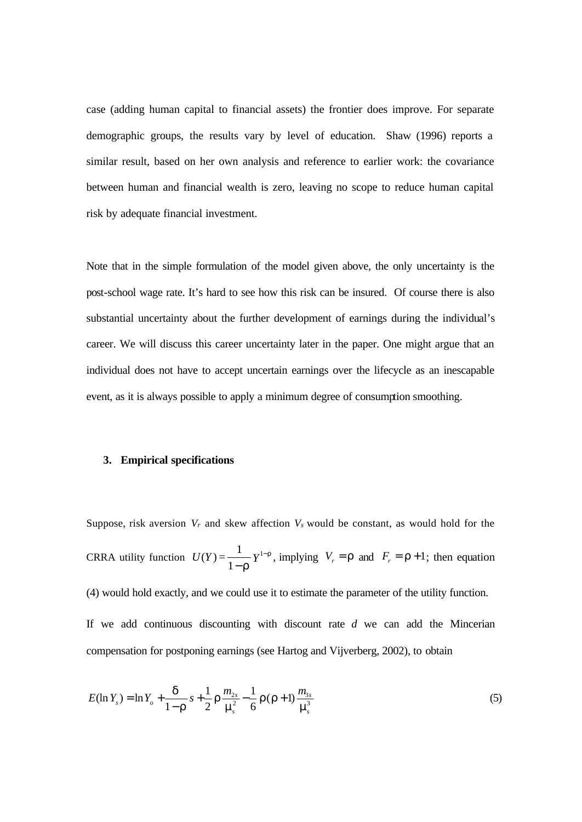case (adding human capital to financial assets) the frontier does improve. For separate demographic groups, the results vary by level of education. Shaw (1996) reports a similar result, based on her own analysis and reference to earlier work: the covariance between human and financial wealth is zero, leaving no scope to reduce human capital risk by adequate financial investment.

Note that in the simple formulation of the model given above, the only uncertainty is the post-school wage rate. It's hard to see how this risk can be insured. Of course there is also substantial uncertainty about the further development of earnings during the individual's career. We will discuss this career uncertainty later in the paper. One might argue that an individual does not have to accept uncertain earnings over the lifecycle as an inescapable event, as it is always possible to apply a minimum degree of consumption smoothing.

#### **3. Empirical specifications**

Suppose, risk aversion  $V_r$  and skew affection  $V_s$  would be constant, as would hold for the CRRA utility function  $U(Y) = \frac{1}{1 - Y^1} Y^1$  $U(Y) = \frac{1}{1-r} Y^{1-r}$ *r* −  $\frac{1}{r} \mathbf{r}^{1-r}$ , implying  $V_r = \mathbf{r}$  and  $F_r = \mathbf{r} + 1$ ; then equation (4) would hold exactly, and we could use it to estimate the parameter of the utility function. If we add continuous discounting with discount rate *d* we can add the Mincerian compensation for postponing earnings (see Hartog and Vijverberg, 2002), to obtain

$$
E(\ln Y_s) = \ln Y_o + \frac{d}{1 - r} s + \frac{1}{2} r \frac{m_{2s}}{m_s^2} - \frac{1}{6} r (r + 1) \frac{m_{3s}}{m_s^3}
$$
(5)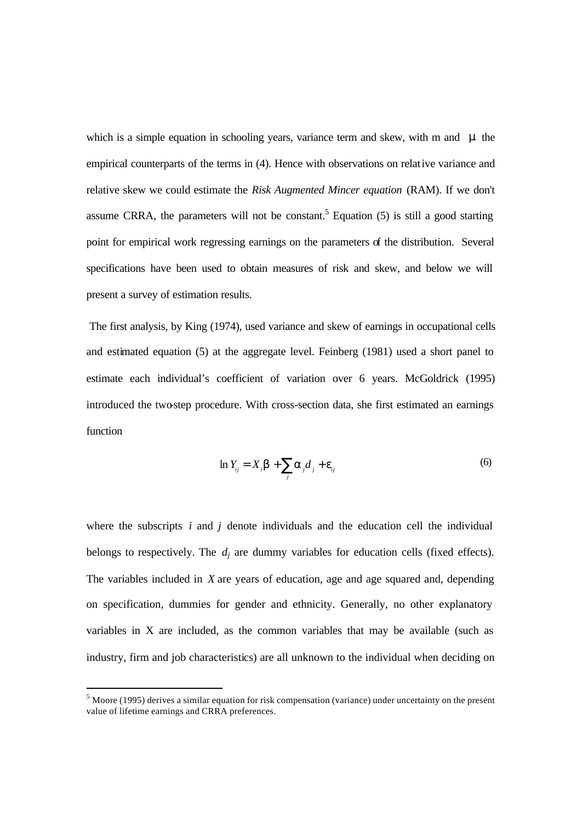which is a simple equation in schooling years, variance term and skew, with m and *m* the empirical counterparts of the terms in (4). Hence with observations on relative variance and relative skew we could estimate the *Risk Augmented Mincer equation* (RAM). If we don't assume CRRA, the parameters will not be constant.<sup>5</sup> Equation (5) is still a good starting point for empirical work regressing earnings on the parameters of the distribution. Several specifications have been used to obtain measures of risk and skew, and below we will present a survey of estimation results.

 The first analysis, by King (1974), used variance and skew of earnings in occupational cells and estimated equation (5) at the aggregate level. Feinberg (1981) used a short panel to estimate each individual's coefficient of variation over 6 years. McGoldrick (1995) introduced the two-step procedure. With cross-section data, she first estimated an earnings function

$$
\ln Y_{ij} = X_i \mathbf{b} + \sum_j \mathbf{a}_j d_j + \mathbf{e}_{ij}
$$
 (6)

where the subscripts *i* and *j* denote individuals and the education cell the individual belongs to respectively. The  $d_j$  are dummy variables for education cells (fixed effects). The variables included in *X* are years of education, age and age squared and, depending on specification, dummies for gender and ethnicity. Generally, no other explanatory variables in X are included, as the common variables that may be available (such as industry, firm and job characteristics) are all unknown to the individual when deciding on

 $<sup>5</sup>$  Moore (1995) derives a similar equation for risk compensation (variance) under uncertainty on the present</sup> value of lifetime earnings and CRRA preferences.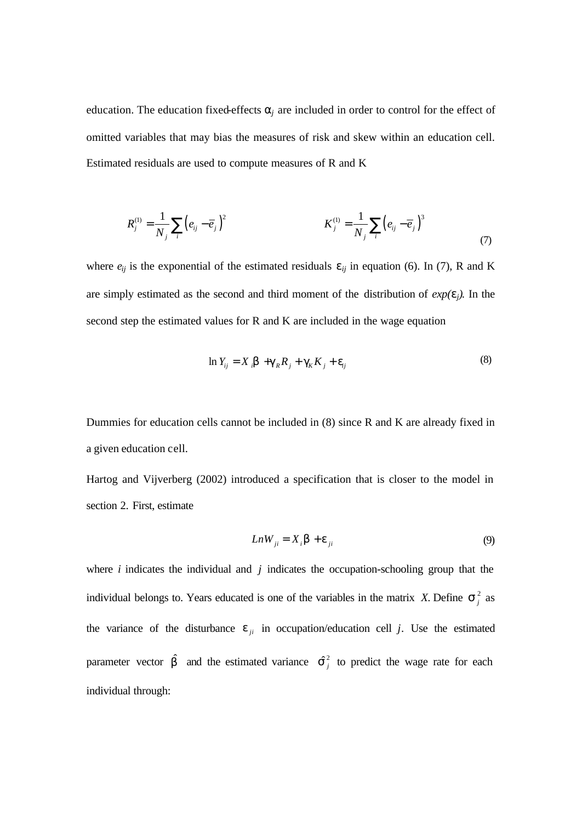education. The education fixed-effects  $a_j$  are included in order to control for the effect of omitted variables that may bias the measures of risk and skew within an education cell. Estimated residuals are used to compute measures of R and K

$$
R_j^{(1)} = \frac{1}{N_j} \sum_i (e_{ij} - \overline{e}_j)^2
$$
\n
$$
K_j^{(1)} = \frac{1}{N_j} \sum_i (e_{ij} - \overline{e}_j)^3
$$
\n(7)

where  $e_{ij}$  is the exponential of the estimated residuals  $e_{ij}$  in equation (6). In (7), R and K are simply estimated as the second and third moment of the distribution of  $exp(\mathbf{e}_i)$ . In the second step the estimated values for R and K are included in the wage equation

$$
\ln Y_{ij} = X_i \mathbf{b} + \mathbf{g}_R R_j + \mathbf{g}_K K_j + \mathbf{e}_{ij}
$$
\n(8)

Dummies for education cells cannot be included in (8) since R and K are already fixed in a given education cell.

Hartog and Vijverberg (2002) introduced a specification that is closer to the model in section 2. First, estimate

$$
LnW_{ji} = X_i \mathbf{b} + \mathbf{e}_{ji}
$$
 (9)

where *i* indicates the individual and *j* indicates the occupation-schooling group that the individual belongs to. Years educated is one of the variables in the matrix *X*. Define  $s_j^2$  as the variance of the disturbance  $e_{ji}$  in occupation/education cell *j*. Use the estimated parameter vector  $\hat{b}$  and the estimated variance  $\hat{s}^2$  to predict the wage rate for each individual through: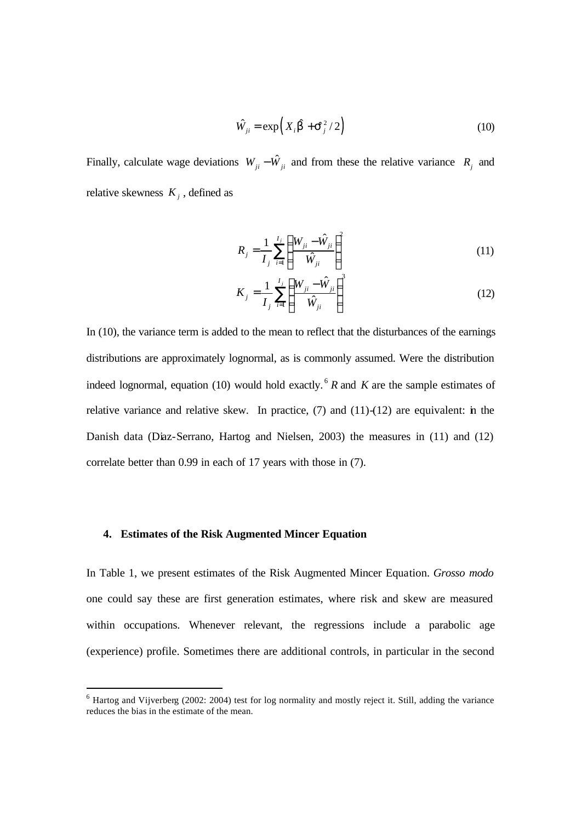$$
\hat{W}_{ji} = \exp\left(X_i \hat{\boldsymbol{b}} + \hat{\boldsymbol{s}}_j^2 / 2\right)
$$
\n(10)

Finally, calculate wage deviations  $W_{ji} - \hat{W}_{ji}$  and from these the relative variance  $R_j$  and relative skewness  $K_j$ , defined as

$$
R_{j} = \frac{1}{I_{j}} \sum_{i=1}^{I_{j}} \left( \frac{W_{ji} - \hat{W}_{ji}}{\hat{W}_{ji}} \right)^{2}
$$
 (11)

$$
K_{j} = \frac{1}{I_{j}} \sum_{i=1}^{I_{j}} \left( \frac{W_{ji} - \hat{W}_{ji}}{\hat{W}_{ji}} \right)^{3}
$$
(12)

In (10), the variance term is added to the mean to reflect that the disturbances of the earnings distributions are approximately lognormal, as is commonly assumed. Were the distribution indeed lognormal, equation (10) would hold exactly.  $6R$  and *K* are the sample estimates of relative variance and relative skew. In practice,  $(7)$  and  $(11)-(12)$  are equivalent: in the Danish data (Diaz-Serrano, Hartog and Nielsen, 2003) the measures in (11) and (12) correlate better than 0.99 in each of 17 years with those in (7).

### **4. Estimates of the Risk Augmented Mincer Equation**

In Table 1, we present estimates of the Risk Augmented Mincer Equation. *Grosso modo* one could say these are first generation estimates, where risk and skew are measured within occupations. Whenever relevant, the regressions include a parabolic age (experience) profile. Sometimes there are additional controls, in particular in the second

<sup>&</sup>lt;sup>6</sup> Hartog and Vijverberg (2002: 2004) test for log normality and mostly reject it. Still, adding the variance reduces the bias in the estimate of the mean.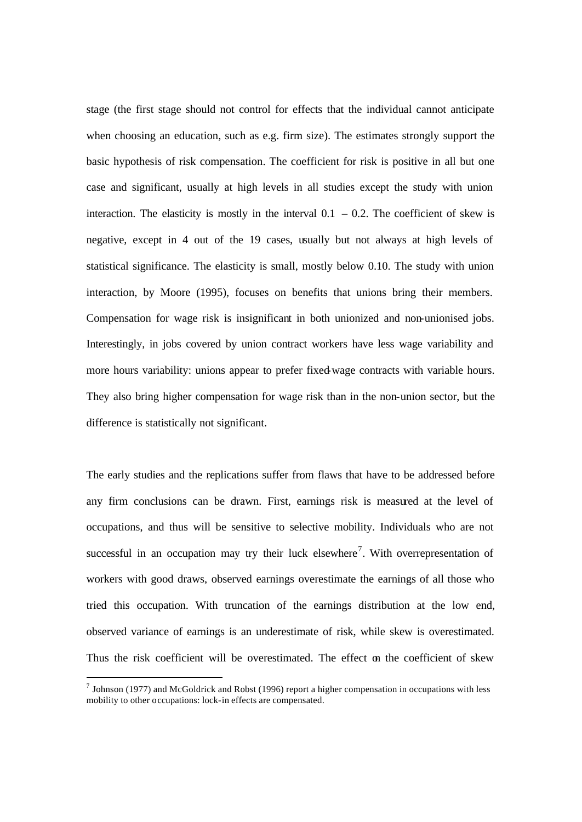stage (the first stage should not control for effects that the individual cannot anticipate when choosing an education, such as e.g. firm size). The estimates strongly support the basic hypothesis of risk compensation. The coefficient for risk is positive in all but one case and significant, usually at high levels in all studies except the study with union interaction. The elasticity is mostly in the interval  $0.1 - 0.2$ . The coefficient of skew is negative, except in 4 out of the 19 cases, usually but not always at high levels of statistical significance. The elasticity is small, mostly below 0.10. The study with union interaction, by Moore (1995), focuses on benefits that unions bring their members. Compensation for wage risk is insignificant in both unionized and non-unionised jobs. Interestingly, in jobs covered by union contract workers have less wage variability and more hours variability: unions appear to prefer fixed-wage contracts with variable hours. They also bring higher compensation for wage risk than in the non-union sector, but the difference is statistically not significant.

The early studies and the replications suffer from flaws that have to be addressed before any firm conclusions can be drawn. First, earnings risk is measured at the level of occupations, and thus will be sensitive to selective mobility. Individuals who are not successful in an occupation may try their luck elsewhere<sup>7</sup>. With overrepresentation of workers with good draws, observed earnings overestimate the earnings of all those who tried this occupation. With truncation of the earnings distribution at the low end, observed variance of earnings is an underestimate of risk, while skew is overestimated. Thus the risk coefficient will be overestimated. The effect on the coefficient of skew

 $\overline{a}$ 

<sup>&</sup>lt;sup>7</sup> Johnson (1977) and McGoldrick and Robst (1996) report a higher compensation in occupations with less mobility to other occupations: lock-in effects are compensated.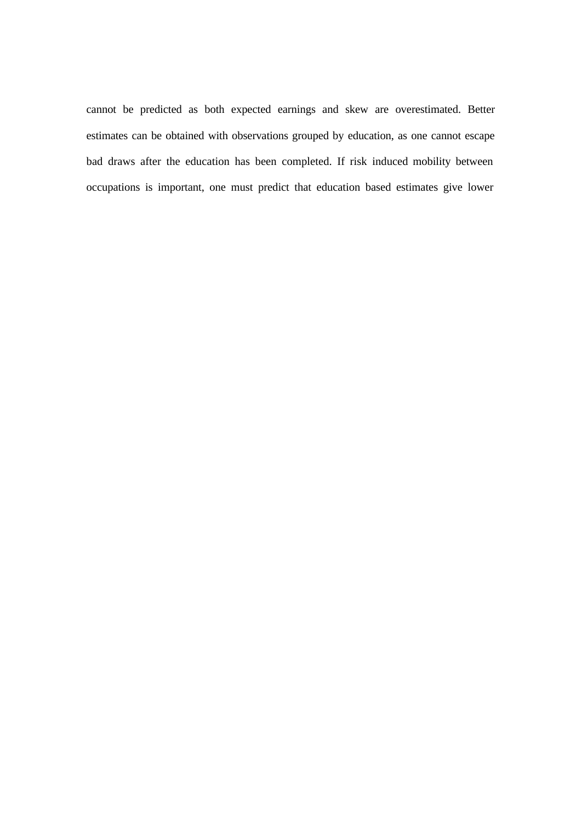cannot be predicted as both expected earnings and skew are overestimated. Better estimates can be obtained with observations grouped by education, as one cannot escape bad draws after the education has been completed. If risk induced mobility between occupations is important, one must predict that education based estimates give lower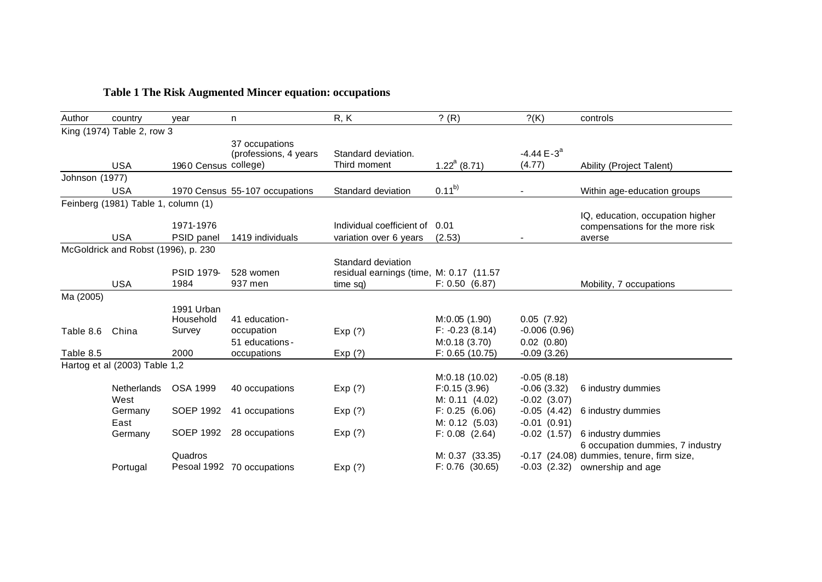|  |  |  | <b>Table 1 The Risk Augmented Mincer equation: occupations</b> |  |
|--|--|--|----------------------------------------------------------------|--|
|  |  |  |                                                                |  |

| Author         | country                             | year                              | n                                              | R, K                                                                      | ? (R)                                              | $?$ $(K)$                                          | controls                                                                                                            |  |
|----------------|-------------------------------------|-----------------------------------|------------------------------------------------|---------------------------------------------------------------------------|----------------------------------------------------|----------------------------------------------------|---------------------------------------------------------------------------------------------------------------------|--|
|                | King (1974) Table 2, row 3          |                                   |                                                |                                                                           |                                                    |                                                    |                                                                                                                     |  |
|                | <b>USA</b>                          | 1960 Census college)              | 37 occupations<br>(professions, 4 years        | Standard deviation.<br>Third moment                                       | $1.22^a$ (8.71)                                    | $-4.44E-3^a$<br>(4.77)                             | Ability (Project Talent)                                                                                            |  |
| Johnson (1977) |                                     |                                   |                                                |                                                                           |                                                    |                                                    |                                                                                                                     |  |
|                | <b>USA</b>                          |                                   | 1970 Census 55-107 occupations                 | Standard deviation                                                        | $0.11^{b}$                                         |                                                    | Within age-education groups                                                                                         |  |
|                | Feinberg (1981) Table 1, column (1) |                                   |                                                |                                                                           |                                                    |                                                    |                                                                                                                     |  |
|                | <b>USA</b>                          | 1971-1976<br>PSID panel           | 1419 individuals                               | Individual coefficient of 0.01<br>variation over 6 years                  | (2.53)                                             |                                                    | IQ, education, occupation higher<br>compensations for the more risk<br>averse                                       |  |
|                | McGoldrick and Robst (1996), p. 230 |                                   |                                                |                                                                           |                                                    |                                                    |                                                                                                                     |  |
|                | <b>USA</b>                          | <b>PSID 1979-</b><br>1984         | 528 women<br>937 men                           | Standard deviation<br>residual earnings (time, M: 0.17 (11.57<br>time sq) | F: 0.50 (6.87)                                     |                                                    | Mobility, 7 occupations                                                                                             |  |
| Ma (2005)      |                                     |                                   |                                                |                                                                           |                                                    |                                                    |                                                                                                                     |  |
| Table 8.6      | China                               | 1991 Urban<br>Household<br>Survey | 41 education-<br>occupation<br>51 educations - | Exp(?)                                                                    | M:0.05 (1.90)<br>$F: -0.23(8.14)$<br>M:0.18 (3.70) | 0.05(7.92)<br>$-0.006(0.96)$<br>$0.02$ $(0.80)$    |                                                                                                                     |  |
| Table 8.5      |                                     | 2000                              | occupations                                    | Exp(?)                                                                    | F: 0.65 (10.75)                                    | $-0.09(3.26)$                                      |                                                                                                                     |  |
|                | Hartog et al (2003) Table 1,2       |                                   |                                                |                                                                           |                                                    |                                                    |                                                                                                                     |  |
|                | <b>Netherlands</b><br>West          | <b>OSA 1999</b>                   | 40 occupations                                 | Exp(?)                                                                    | M:0.18 (10.02)<br>F:0.15(3.96)<br>M: 0.11 (4.02)   | $-0.05(8.18)$<br>$-0.06(3.32)$<br>$-0.02$ $(3.07)$ | 6 industry dummies                                                                                                  |  |
|                | Germany<br>East                     | <b>SOEP 1992</b>                  | 41 occupations                                 | Exp(?)                                                                    | F: 0.25 (6.06)<br>M: 0.12 (5.03)                   | $-0.05(4.42)$<br>$-0.01$ $(0.91)$                  | 6 industry dummies                                                                                                  |  |
|                | Germany                             | <b>SOEP 1992</b>                  | 28 occupations                                 | Exp(?)                                                                    | $F: 0.08$ (2.64)                                   | $-0.02$ $(1.57)$                                   | 6 industry dummies                                                                                                  |  |
|                | Portugal                            | Quadros                           | Pesoal 1992 70 occupations                     | Exp(?)                                                                    | M: 0.37 (33.35)<br>$F: 0.76$ (30.65)               |                                                    | 6 occupation dummies, 7 industry<br>-0.17 (24.08) dummies, tenure, firm size,<br>$-0.03$ $(2.32)$ ownership and age |  |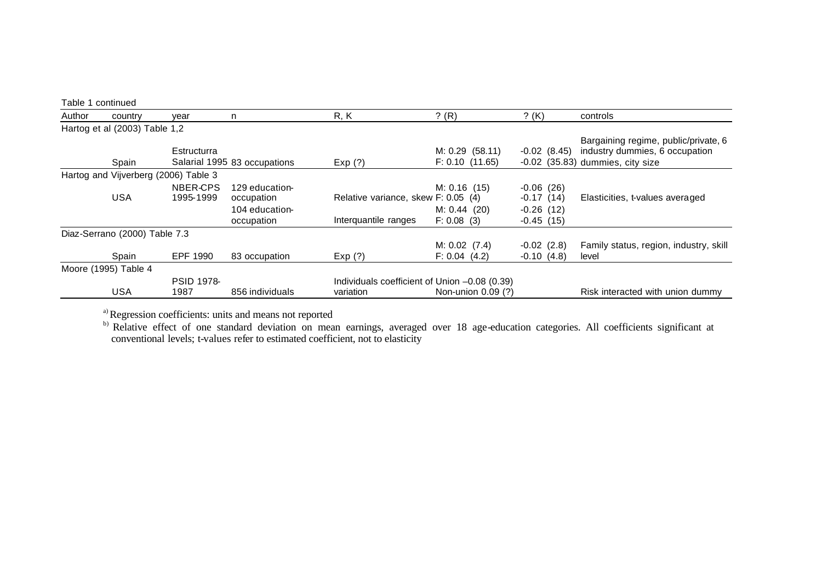| Table 1 continued |                               |                                      |                              |                                               |                    |                 |                                        |
|-------------------|-------------------------------|--------------------------------------|------------------------------|-----------------------------------------------|--------------------|-----------------|----------------------------------------|
| Author            | country                       | vear                                 | n                            | R, K                                          | ? (R)              | $?$ (K)         | controls                               |
|                   | Hartog et al (2003) Table 1,2 |                                      |                              |                                               |                    |                 |                                        |
|                   |                               |                                      |                              |                                               |                    |                 | Bargaining regime, public/private, 6   |
|                   |                               | Estructurra                          |                              |                                               | M: 0.29 (58.11)    | $-0.02(8.45)$   | industry dummies, 6 occupation         |
|                   | Spain                         |                                      | Salarial 1995 83 occupations | Exp(?)                                        | $F: 0.10$ (11.65)  |                 | $-0.02$ (35.83) dummies, city size     |
|                   |                               | Hartog and Vijverberg (2006) Table 3 |                              |                                               |                    |                 |                                        |
|                   |                               | NBER-CPS                             | 129 education-               |                                               | M: 0.16(15)        | $-0.06(26)$     |                                        |
|                   | <b>USA</b>                    | 1995-1999                            | occupation                   | Relative variance, skew F: 0.05 (4)           |                    | $-0.17(14)$     | Elasticities, t-values averaged        |
|                   |                               |                                      | 104 education-               |                                               | $M: 0.44$ (20)     | $-0.26(12)$     |                                        |
|                   |                               |                                      | occupation                   | Interguantile ranges                          | $F: 0.08$ (3)      | $-0.45(15)$     |                                        |
|                   | Diaz-Serrano (2000) Table 7.3 |                                      |                              |                                               |                    |                 |                                        |
|                   |                               |                                      |                              |                                               | $M: 0.02$ (7.4)    | $-0.02$ $(2.8)$ | Family status, region, industry, skill |
|                   | Spain                         | EPF 1990                             | 83 occupation                | Exp(?)                                        | $F: 0.04$ (4.2)    | $-0.10(4.8)$    | level                                  |
|                   | Moore (1995) Table 4          |                                      |                              |                                               |                    |                 |                                        |
|                   |                               | <b>PSID 1978-</b>                    |                              | Individuals coefficient of Union -0.08 (0.39) |                    |                 |                                        |
|                   | <b>USA</b>                    | 1987                                 | 856 individuals              | variation                                     | Non-union 0.09 (?) |                 | Risk interacted with union dummy       |

a) Regression coefficients: units and means not reported

b) Relative effect of one standard deviation on mean earnings, averaged over 18 age-education categories. All coefficients significant at conventional levels; t-values refer to estimated coefficient, not to elasticity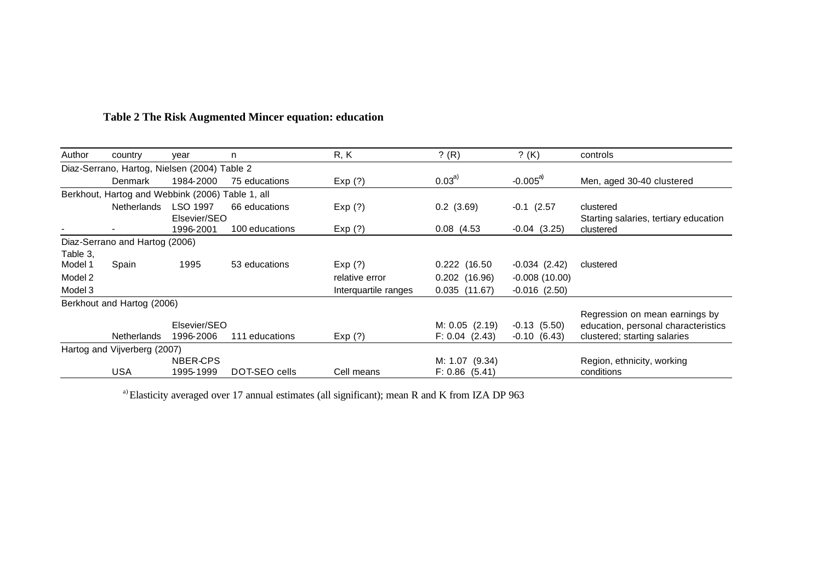| Author                                           | country                        | year            | n.             | R, K                 | ? (R)              | ? (K)            | controls                              |  |
|--------------------------------------------------|--------------------------------|-----------------|----------------|----------------------|--------------------|------------------|---------------------------------------|--|
| Diaz-Serrano, Hartog, Nielsen (2004) Table 2     |                                |                 |                |                      |                    |                  |                                       |  |
|                                                  | Denmark                        | 1984-2000       | 75 educations  | Exp(?)               | $0.03^{a}$         | $-0.005^{a}$     | Men, aged 30-40 clustered             |  |
| Berkhout, Hartog and Webbink (2006) Table 1, all |                                |                 |                |                      |                    |                  |                                       |  |
|                                                  | <b>Netherlands</b>             | LSO 1997        | 66 educations  | Exp(?)               | $0.2$ $(3.69)$     | (2.57)<br>-0.1   | clustered                             |  |
|                                                  |                                | Elsevier/SEO    |                |                      |                    |                  | Starting salaries, tertiary education |  |
|                                                  |                                | 1996-2001       | 100 educations | Exp(?)               | $0.08$ (4.53)      | $-0.04$ $(3.25)$ | clustered                             |  |
|                                                  | Diaz-Serrano and Hartog (2006) |                 |                |                      |                    |                  |                                       |  |
| Table 3,                                         |                                |                 |                |                      |                    |                  |                                       |  |
| Model 1                                          | Spain                          | 1995            | 53 educations  | Exp(?)               | 0.222 (16.50       | $-0.034(2.42)$   | clustered                             |  |
| Model 2                                          |                                |                 |                | relative error       | 0.202(16.96)       | $-0.008(10.00)$  |                                       |  |
| Model 3                                          |                                |                 |                | Interguartile ranges | $0.035$ (11.67)    | $-0.016$ (2.50)  |                                       |  |
|                                                  | Berkhout and Hartog (2006)     |                 |                |                      |                    |                  |                                       |  |
|                                                  |                                |                 |                |                      |                    |                  | Regression on mean earnings by        |  |
|                                                  |                                | Elsevier/SEO    |                |                      | M: $0.05$ $(2.19)$ | $-0.13(5.50)$    | education, personal characteristics   |  |
|                                                  | <b>Netherlands</b>             | 1996-2006       | 111 educations | Exp(?)               | $F: 0.04$ (2.43)   | $-0.10(6.43)$    | clustered; starting salaries          |  |
| Hartog and Vijverberg (2007)                     |                                |                 |                |                      |                    |                  |                                       |  |
|                                                  |                                | <b>NBER-CPS</b> |                |                      | M: 1.07 (9.34)     |                  | Region, ethnicity, working            |  |
|                                                  | <b>USA</b>                     | 1995-1999       | DOT-SEO cells  | Cell means           | $F: 0.86$ (5.41)   |                  | conditions                            |  |

# **Table 2 The Risk Augmented Mincer equation: education**

<sup>a)</sup> Elasticity averaged over 17 annual estimates (all significant); mean R and K from IZA DP 963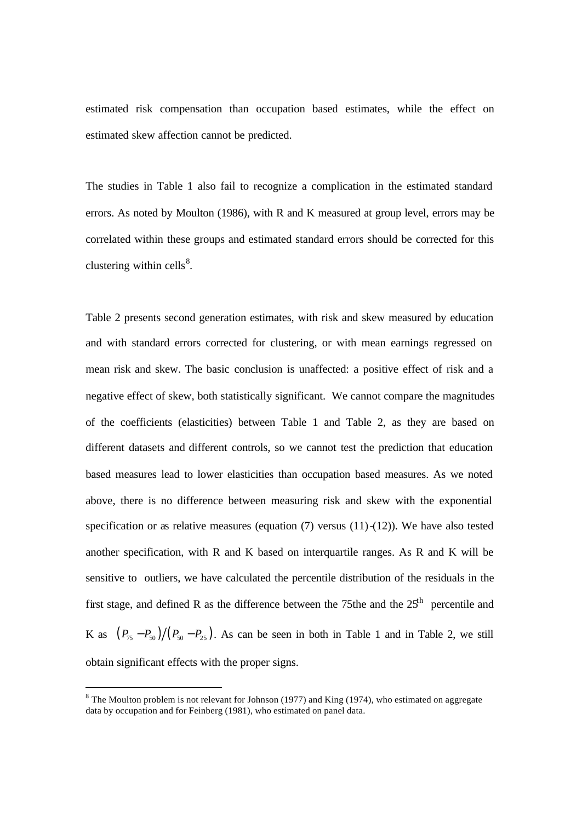estimated risk compensation than occupation based estimates, while the effect on estimated skew affection cannot be predicted.

The studies in Table 1 also fail to recognize a complication in the estimated standard errors. As noted by Moulton (1986), with R and K measured at group level, errors may be correlated within these groups and estimated standard errors should be corrected for this clustering within cells $^{8}$ .

Table 2 presents second generation estimates, with risk and skew measured by education and with standard errors corrected for clustering, or with mean earnings regressed on mean risk and skew. The basic conclusion is unaffected: a positive effect of risk and a negative effect of skew, both statistically significant. We cannot compare the magnitudes of the coefficients (elasticities) between Table 1 and Table 2, as they are based on different datasets and different controls, so we cannot test the prediction that education based measures lead to lower elasticities than occupation based measures. As we noted above, there is no difference between measuring risk and skew with the exponential specification or as relative measures (equation  $(7)$  versus  $(11)-(12)$ ). We have also tested another specification, with R and K based on interquartile ranges. As R and K will be sensitive to outliers, we have calculated the percentile distribution of the residuals in the first stage, and defined R as the difference between the 75the and the  $25<sup>th</sup>$  percentile and K as  $(P_{75} - P_{50})/(P_{50} - P_{25})$ . As can be seen in both in Table 1 and in Table 2, we still obtain significant effects with the proper signs.

 $8$  The Moulton problem is not relevant for Johnson (1977) and King (1974), who estimated on aggregate data by occupation and for Feinberg (1981), who estimated on panel data.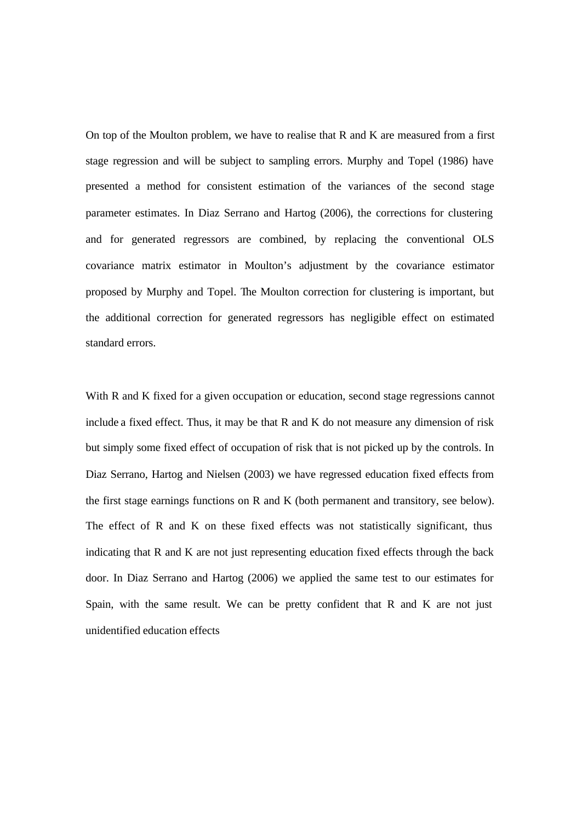On top of the Moulton problem, we have to realise that R and K are measured from a first stage regression and will be subject to sampling errors. Murphy and Topel (1986) have presented a method for consistent estimation of the variances of the second stage parameter estimates. In Diaz Serrano and Hartog (2006), the corrections for clustering and for generated regressors are combined, by replacing the conventional OLS covariance matrix estimator in Moulton's adjustment by the covariance estimator proposed by Murphy and Topel. The Moulton correction for clustering is important, but the additional correction for generated regressors has negligible effect on estimated standard errors.

With R and K fixed for a given occupation or education, second stage regressions cannot include a fixed effect. Thus, it may be that R and K do not measure any dimension of risk but simply some fixed effect of occupation of risk that is not picked up by the controls. In Diaz Serrano, Hartog and Nielsen (2003) we have regressed education fixed effects from the first stage earnings functions on R and K (both permanent and transitory, see below). The effect of R and K on these fixed effects was not statistically significant, thus indicating that R and K are not just representing education fixed effects through the back door. In Diaz Serrano and Hartog (2006) we applied the same test to our estimates for Spain, with the same result. We can be pretty confident that R and K are not just unidentified education effects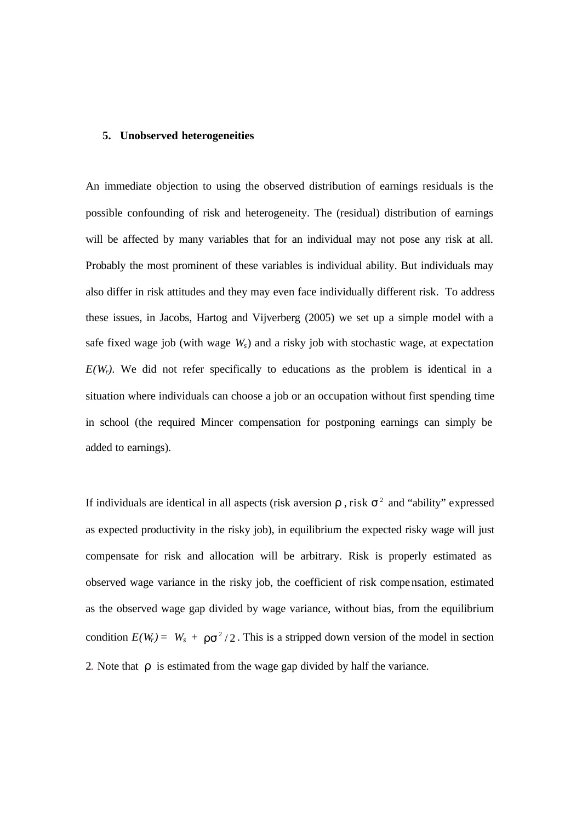#### **5. Unobserved heterogeneities**

An immediate objection to using the observed distribution of earnings residuals is the possible confounding of risk and heterogeneity. The (residual) distribution of earnings will be affected by many variables that for an individual may not pose any risk at all. Probably the most prominent of these variables is individual ability. But individuals may also differ in risk attitudes and they may even face individually different risk. To address these issues, in Jacobs, Hartog and Vijverberg (2005) we set up a simple model with a safe fixed wage job (with wage *Ws*) and a risky job with stochastic wage, at expectation  $E(W_r)$ . We did not refer specifically to educations as the problem is identical in a situation where individuals can choose a job or an occupation without first spending time in school (the required Mincer compensation for postponing earnings can simply be added to earnings).

If individuals are identical in all aspects (risk aversion  $\mathbf{r}$ , risk  $\mathbf{s}^2$  and "ability" expressed as expected productivity in the risky job), in equilibrium the expected risky wage will just compensate for risk and allocation will be arbitrary. Risk is properly estimated as observed wage variance in the risky job, the coefficient of risk compensation, estimated as the observed wage gap divided by wage variance, without bias, from the equilibrium condition  $E(W_r) = W_s + r s^2 / 2$ . This is a stripped down version of the model in section 2. Note that *r* is estimated from the wage gap divided by half the variance.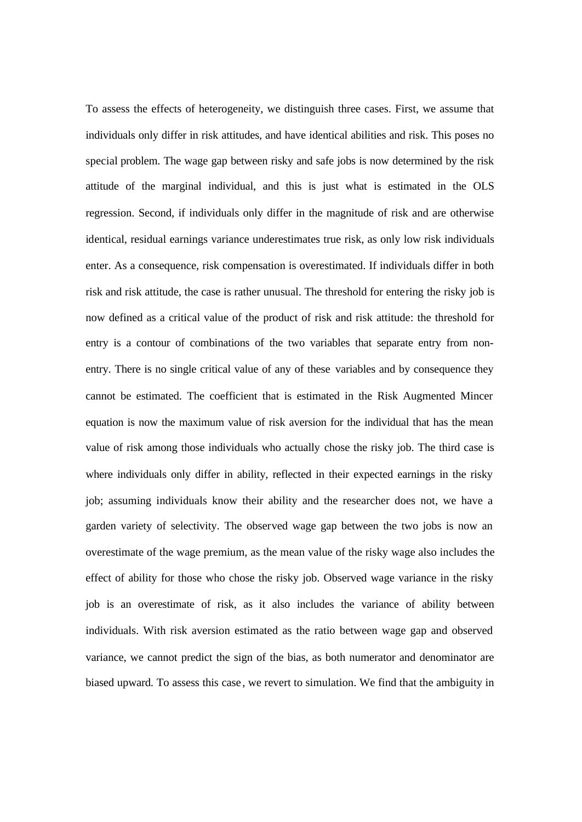To assess the effects of heterogeneity, we distinguish three cases. First, we assume that individuals only differ in risk attitudes, and have identical abilities and risk. This poses no special problem. The wage gap between risky and safe jobs is now determined by the risk attitude of the marginal individual, and this is just what is estimated in the OLS regression. Second, if individuals only differ in the magnitude of risk and are otherwise identical, residual earnings variance underestimates true risk, as only low risk individuals enter. As a consequence, risk compensation is overestimated. If individuals differ in both risk and risk attitude, the case is rather unusual. The threshold for entering the risky job is now defined as a critical value of the product of risk and risk attitude: the threshold for entry is a contour of combinations of the two variables that separate entry from nonentry. There is no single critical value of any of these variables and by consequence they cannot be estimated. The coefficient that is estimated in the Risk Augmented Mincer equation is now the maximum value of risk aversion for the individual that has the mean value of risk among those individuals who actually chose the risky job. The third case is where individuals only differ in ability, reflected in their expected earnings in the risky job; assuming individuals know their ability and the researcher does not, we have a garden variety of selectivity. The observed wage gap between the two jobs is now an overestimate of the wage premium, as the mean value of the risky wage also includes the effect of ability for those who chose the risky job. Observed wage variance in the risky job is an overestimate of risk, as it also includes the variance of ability between individuals. With risk aversion estimated as the ratio between wage gap and observed variance, we cannot predict the sign of the bias, as both numerator and denominator are biased upward. To assess this case , we revert to simulation. We find that the ambiguity in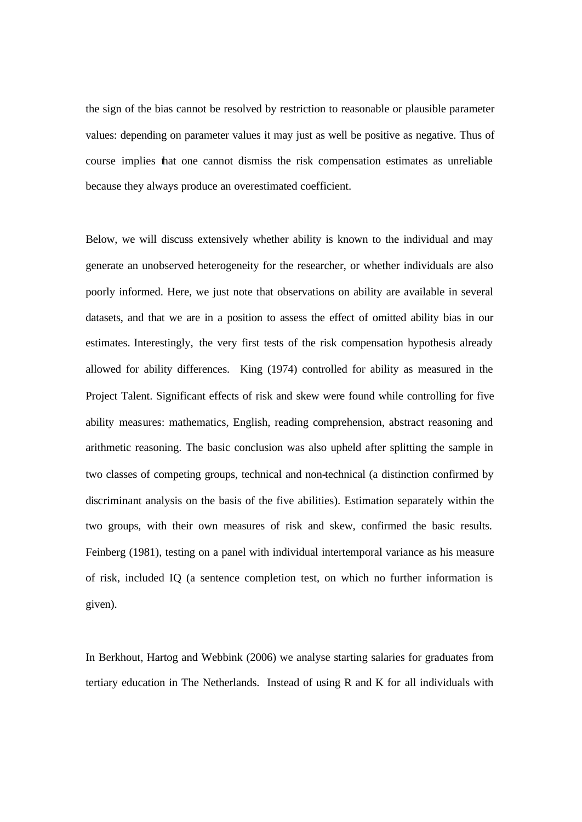the sign of the bias cannot be resolved by restriction to reasonable or plausible parameter values: depending on parameter values it may just as well be positive as negative. Thus of course implies that one cannot dismiss the risk compensation estimates as unreliable because they always produce an overestimated coefficient.

Below, we will discuss extensively whether ability is known to the individual and may generate an unobserved heterogeneity for the researcher, or whether individuals are also poorly informed. Here, we just note that observations on ability are available in several datasets, and that we are in a position to assess the effect of omitted ability bias in our estimates. Interestingly, the very first tests of the risk compensation hypothesis already allowed for ability differences. King (1974) controlled for ability as measured in the Project Talent. Significant effects of risk and skew were found while controlling for five ability measures: mathematics, English, reading comprehension, abstract reasoning and arithmetic reasoning. The basic conclusion was also upheld after splitting the sample in two classes of competing groups, technical and non-technical (a distinction confirmed by discriminant analysis on the basis of the five abilities). Estimation separately within the two groups, with their own measures of risk and skew, confirmed the basic results. Feinberg (1981), testing on a panel with individual intertemporal variance as his measure of risk, included IQ (a sentence completion test, on which no further information is given).

In Berkhout, Hartog and Webbink (2006) we analyse starting salaries for graduates from tertiary education in The Netherlands. Instead of using R and K for all individuals with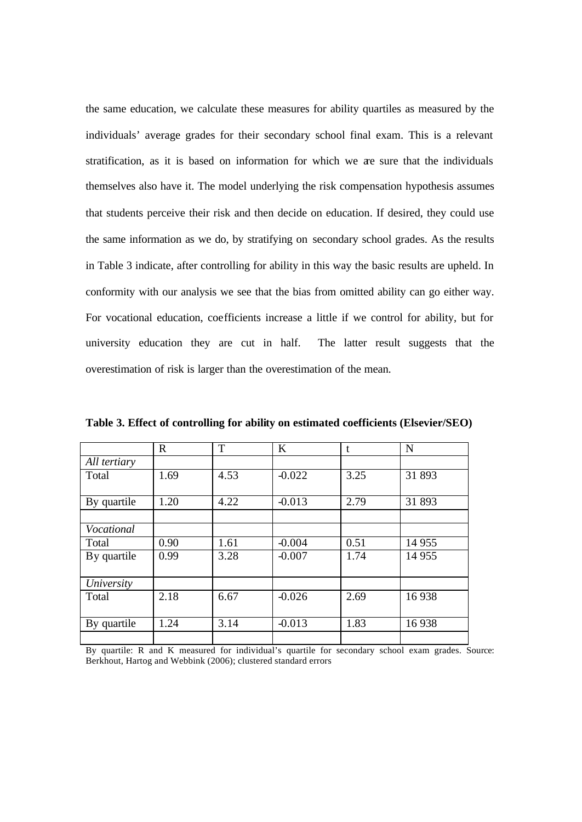the same education, we calculate these measures for ability quartiles as measured by the individuals' average grades for their secondary school final exam. This is a relevant stratification, as it is based on information for which we are sure that the individuals themselves also have it. The model underlying the risk compensation hypothesis assumes that students perceive their risk and then decide on education. If desired, they could use the same information as we do, by stratifying on secondary school grades. As the results in Table 3 indicate, after controlling for ability in this way the basic results are upheld. In conformity with our analysis we see that the bias from omitted ability can go either way. For vocational education, coefficients increase a little if we control for ability, but for university education they are cut in half. The latter result suggests that the overestimation of risk is larger than the overestimation of the mean.

|              | $\mathbf R$ | T    | K        | t    | N       |
|--------------|-------------|------|----------|------|---------|
| All tertiary |             |      |          |      |         |
| Total        | 1.69        | 4.53 | $-0.022$ | 3.25 | 31 893  |
| By quartile  | 1.20        | 4.22 | $-0.013$ | 2.79 | 31893   |
|              |             |      |          |      |         |
| Vocational   |             |      |          |      |         |
| Total        | 0.90        | 1.61 | $-0.004$ | 0.51 | 14 9 55 |
| By quartile  | 0.99        | 3.28 | $-0.007$ | 1.74 | 14 9 55 |
| University   |             |      |          |      |         |
| Total        | 2.18        | 6.67 | $-0.026$ | 2.69 | 16938   |
| By quartile  | 1.24        | 3.14 | $-0.013$ | 1.83 | 16938   |
|              |             |      |          |      |         |

**Table 3. Effect of controlling for ability on estimated coefficients (Elsevier/SEO)**

By quartile: R and K measured for individual's quartile for secondary school exam grades. Source: Berkhout, Hartog and Webbink (2006); clustered standard errors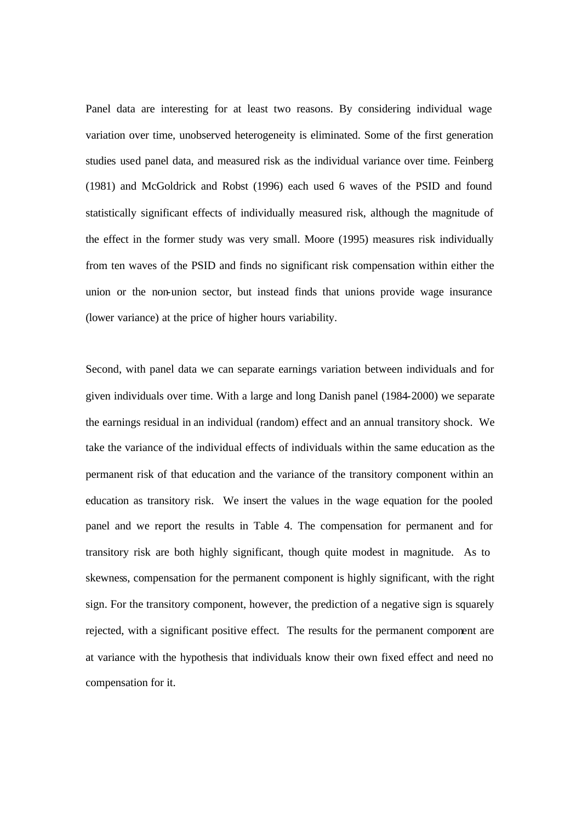Panel data are interesting for at least two reasons. By considering individual wage variation over time, unobserved heterogeneity is eliminated. Some of the first generation studies used panel data, and measured risk as the individual variance over time. Feinberg (1981) and McGoldrick and Robst (1996) each used 6 waves of the PSID and found statistically significant effects of individually measured risk, although the magnitude of the effect in the former study was very small. Moore (1995) measures risk individually from ten waves of the PSID and finds no significant risk compensation within either the union or the non-union sector, but instead finds that unions provide wage insurance (lower variance) at the price of higher hours variability.

Second, with panel data we can separate earnings variation between individuals and for given individuals over time. With a large and long Danish panel (1984-2000) we separate the earnings residual in an individual (random) effect and an annual transitory shock. We take the variance of the individual effects of individuals within the same education as the permanent risk of that education and the variance of the transitory component within an education as transitory risk. We insert the values in the wage equation for the pooled panel and we report the results in Table 4. The compensation for permanent and for transitory risk are both highly significant, though quite modest in magnitude. As to skewness, compensation for the permanent component is highly significant, with the right sign. For the transitory component, however, the prediction of a negative sign is squarely rejected, with a significant positive effect. The results for the permanent component are at variance with the hypothesis that individuals know their own fixed effect and need no compensation for it.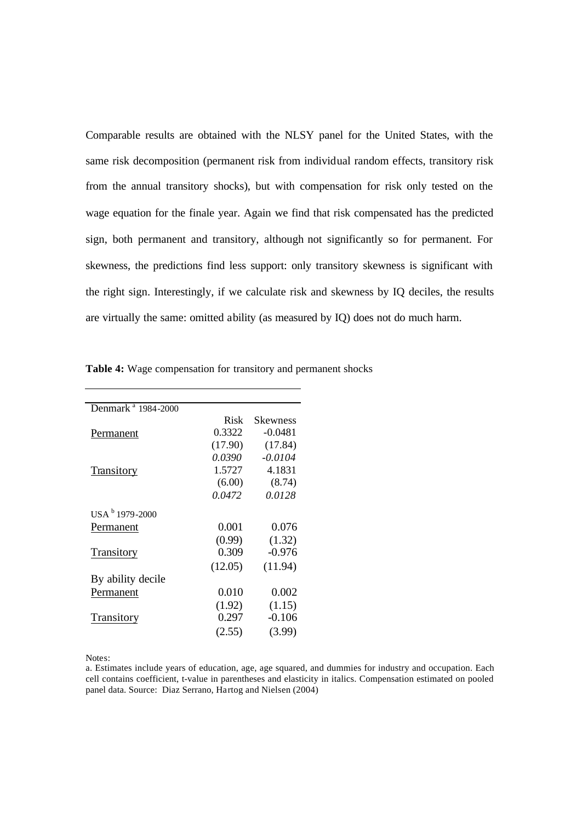Comparable results are obtained with the NLSY panel for the United States, with the same risk decomposition (permanent risk from individual random effects, transitory risk from the annual transitory shocks), but with compensation for risk only tested on the wage equation for the finale year. Again we find that risk compensated has the predicted sign, both permanent and transitory, although not significantly so for permanent. For skewness, the predictions find less support: only transitory skewness is significant with the right sign. Interestingly, if we calculate risk and skewness by IQ deciles, the results are virtually the same: omitted ability (as measured by IQ) does not do much harm.

| Denmark <sup>a</sup> 1984-2000 |         |           |
|--------------------------------|---------|-----------|
|                                | Risk    | Skewness  |
| <u>Permanent</u>               | 0.3322  | $-0.0481$ |
|                                | (17.90) | (17.84)   |
|                                | 0.0390  | $-0.0104$ |
| Transitory                     | 1.5727  | 4.1831    |
|                                | (6.00)  | (8.74)    |
|                                | 0.0472  | 0.0128    |
| USA <sup>b</sup> 1979-2000     |         |           |
| Permanent                      | 0.001   | 0.076     |
|                                | (0.99)  | (1.32)    |
| <b>Transitory</b>              | 0.309   | -0.976    |
|                                | (12.05) | (11.94)   |
| By ability decile              |         |           |
| Permanent                      | 0.010   | 0.002     |
|                                | (1.92)  | (1.15)    |
| Transitory                     | 0.297   | $-0.106$  |
|                                | (2.55)  | (3.99)    |

**Table 4:** Wage compensation for transitory and permanent shocks

Notes:

a. Estimates include years of education, age, age squared, and dummies for industry and occupation. Each cell contains coefficient, t-value in parentheses and elasticity in italics. Compensation estimated on pooled panel data. Source: Diaz Serrano, Hartog and Nielsen (2004)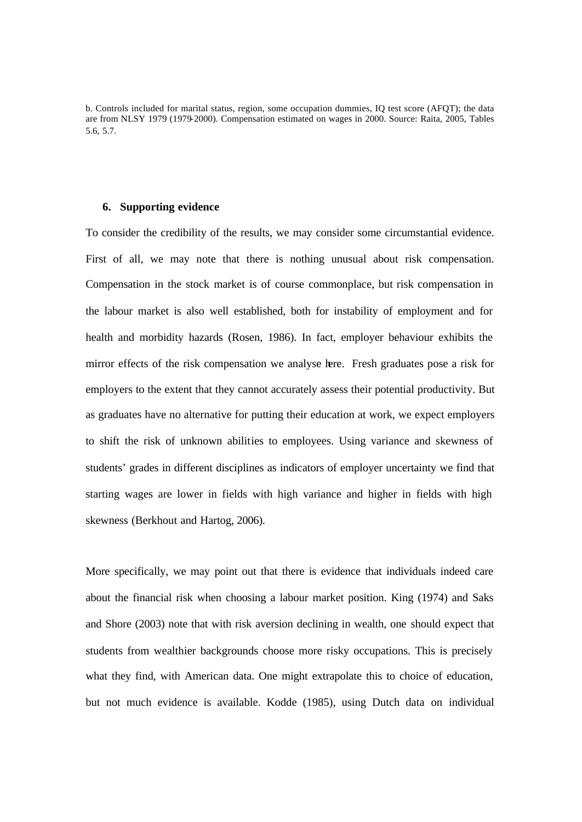b. Controls included for marital status, region, some occupation dummies, IQ test score (AFQT); the data are from NLSY 1979 (1979-2000). Compensation estimated on wages in 2000. Source: Raita, 2005, Tables 5.6, 5.7.

#### **6. Supporting evidence**

To consider the credibility of the results, we may consider some circumstantial evidence. First of all, we may note that there is nothing unusual about risk compensation. Compensation in the stock market is of course commonplace, but risk compensation in the labour market is also well established, both for instability of employment and for health and morbidity hazards (Rosen, 1986). In fact, employer behaviour exhibits the mirror effects of the risk compensation we analyse here. Fresh graduates pose a risk for employers to the extent that they cannot accurately assess their potential productivity. But as graduates have no alternative for putting their education at work, we expect employers to shift the risk of unknown abilities to employees. Using variance and skewness of students' grades in different disciplines as indicators of employer uncertainty we find that starting wages are lower in fields with high variance and higher in fields with high skewness (Berkhout and Hartog, 2006).

More specifically, we may point out that there is evidence that individuals indeed care about the financial risk when choosing a labour market position. King (1974) and Saks and Shore (2003) note that with risk aversion declining in wealth, one should expect that students from wealthier backgrounds choose more risky occupations. This is precisely what they find, with American data. One might extrapolate this to choice of education, but not much evidence is available. Kodde (1985), using Dutch data on individual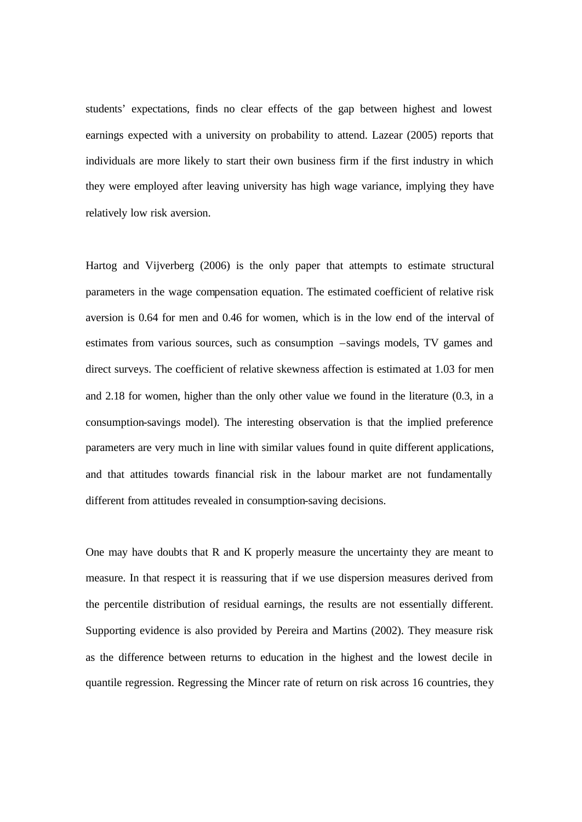students' expectations, finds no clear effects of the gap between highest and lowest earnings expected with a university on probability to attend. Lazear (2005) reports that individuals are more likely to start their own business firm if the first industry in which they were employed after leaving university has high wage variance, implying they have relatively low risk aversion.

Hartog and Vijverberg (2006) is the only paper that attempts to estimate structural parameters in the wage compensation equation. The estimated coefficient of relative risk aversion is 0.64 for men and 0.46 for women, which is in the low end of the interval of estimates from various sources, such as consumption –savings models, TV games and direct surveys. The coefficient of relative skewness affection is estimated at 1.03 for men and 2.18 for women, higher than the only other value we found in the literature (0.3, in a consumption-savings model). The interesting observation is that the implied preference parameters are very much in line with similar values found in quite different applications, and that attitudes towards financial risk in the labour market are not fundamentally different from attitudes revealed in consumption-saving decisions.

One may have doubts that R and K properly measure the uncertainty they are meant to measure. In that respect it is reassuring that if we use dispersion measures derived from the percentile distribution of residual earnings, the results are not essentially different. Supporting evidence is also provided by Pereira and Martins (2002). They measure risk as the difference between returns to education in the highest and the lowest decile in quantile regression. Regressing the Mincer rate of return on risk across 16 countries, they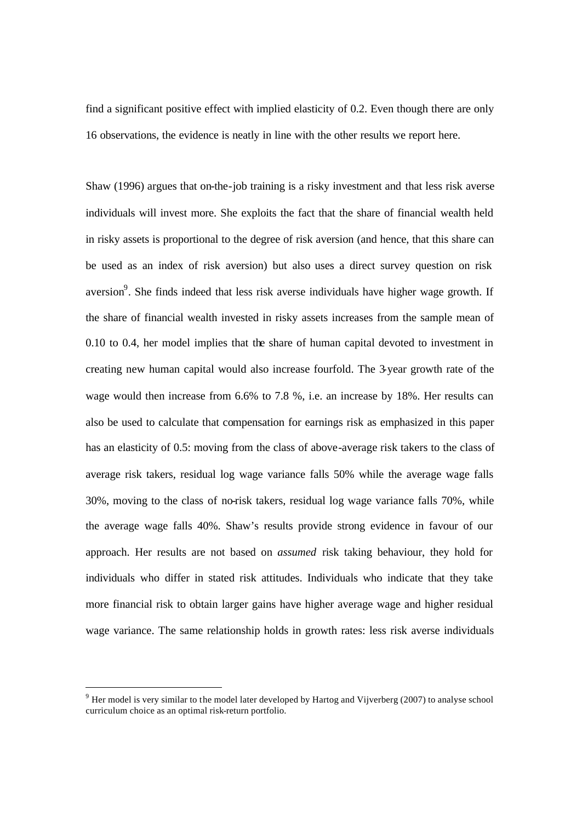find a significant positive effect with implied elasticity of 0.2. Even though there are only 16 observations, the evidence is neatly in line with the other results we report here.

Shaw (1996) argues that on-the-job training is a risky investment and that less risk averse individuals will invest more. She exploits the fact that the share of financial wealth held in risky assets is proportional to the degree of risk aversion (and hence, that this share can be used as an index of risk aversion) but also uses a direct survey question on risk aversion<sup>9</sup>. She finds indeed that less risk averse individuals have higher wage growth. If the share of financial wealth invested in risky assets increases from the sample mean of 0.10 to 0.4, her model implies that the share of human capital devoted to investment in creating new human capital would also increase fourfold. The 3-year growth rate of the wage would then increase from 6.6% to 7.8 %, i.e. an increase by 18%. Her results can also be used to calculate that compensation for earnings risk as emphasized in this paper has an elasticity of 0.5: moving from the class of above-average risk takers to the class of average risk takers, residual log wage variance falls 50% while the average wage falls 30%, moving to the class of no-risk takers, residual log wage variance falls 70%, while the average wage falls 40%. Shaw's results provide strong evidence in favour of our approach. Her results are not based on *assumed* risk taking behaviour, they hold for individuals who differ in stated risk attitudes. Individuals who indicate that they take more financial risk to obtain larger gains have higher average wage and higher residual wage variance. The same relationship holds in growth rates: less risk averse individuals

 $9$  Her model is very similar to the model later developed by Hartog and Vijverberg (2007) to analyse school curriculum choice as an optimal risk-return portfolio.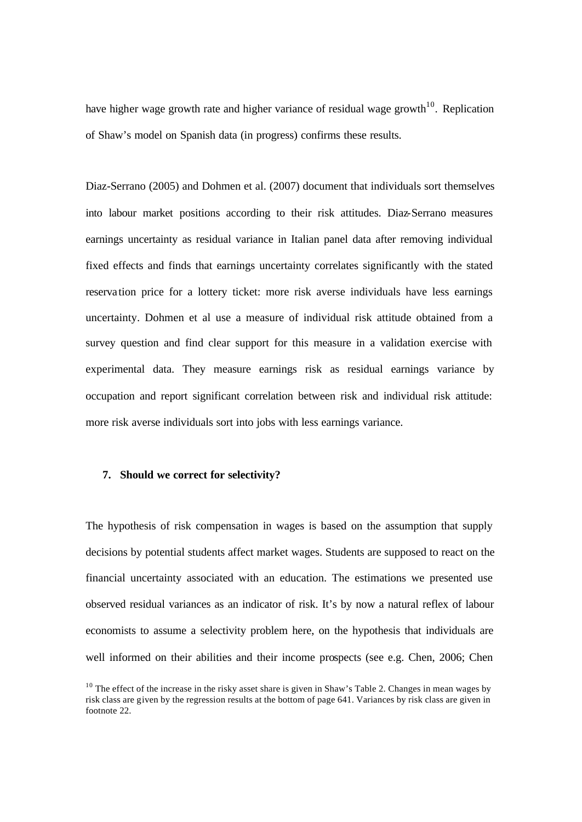have higher wage growth rate and higher variance of residual wage growth<sup>10</sup>. Replication of Shaw's model on Spanish data (in progress) confirms these results.

Diaz-Serrano (2005) and Dohmen et al. (2007) document that individuals sort themselves into labour market positions according to their risk attitudes. Diaz-Serrano measures earnings uncertainty as residual variance in Italian panel data after removing individual fixed effects and finds that earnings uncertainty correlates significantly with the stated reserva tion price for a lottery ticket: more risk averse individuals have less earnings uncertainty. Dohmen et al use a measure of individual risk attitude obtained from a survey question and find clear support for this measure in a validation exercise with experimental data. They measure earnings risk as residual earnings variance by occupation and report significant correlation between risk and individual risk attitude: more risk averse individuals sort into jobs with less earnings variance.

## **7. Should we correct for selectivity?**

The hypothesis of risk compensation in wages is based on the assumption that supply decisions by potential students affect market wages. Students are supposed to react on the financial uncertainty associated with an education. The estimations we presented use observed residual variances as an indicator of risk. It's by now a natural reflex of labour economists to assume a selectivity problem here, on the hypothesis that individuals are well informed on their abilities and their income prospects (see e.g. Chen, 2006; Chen

 $10$  The effect of the increase in the risky asset share is given in Shaw's Table 2. Changes in mean wages by risk class are given by the regression results at the bottom of page 641. Variances by risk class are given in footnote 22.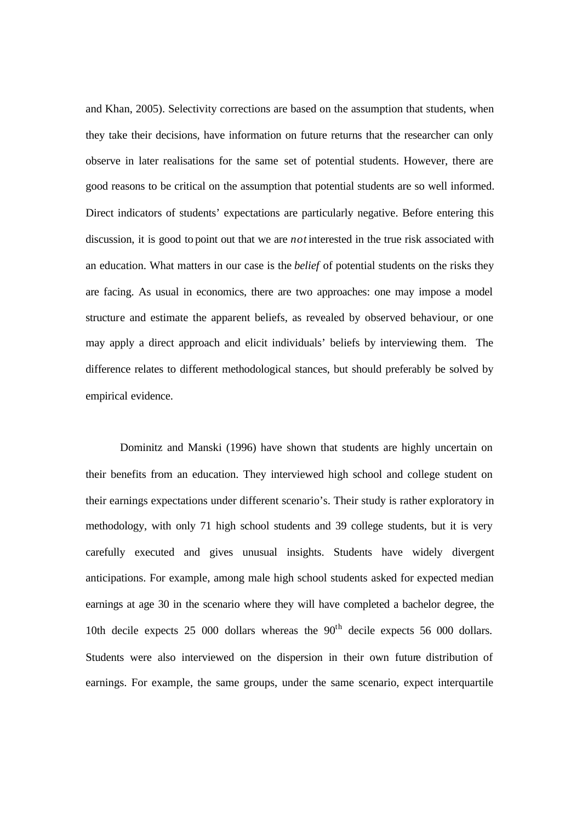and Khan, 2005). Selectivity corrections are based on the assumption that students, when they take their decisions, have information on future returns that the researcher can only observe in later realisations for the same set of potential students. However, there are good reasons to be critical on the assumption that potential students are so well informed. Direct indicators of students' expectations are particularly negative. Before entering this discussion, it is good to point out that we are *not* interested in the true risk associated with an education. What matters in our case is the *belief* of potential students on the risks they are facing. As usual in economics, there are two approaches: one may impose a model structure and estimate the apparent beliefs, as revealed by observed behaviour, or one may apply a direct approach and elicit individuals' beliefs by interviewing them. The difference relates to different methodological stances, but should preferably be solved by empirical evidence.

Dominitz and Manski (1996) have shown that students are highly uncertain on their benefits from an education. They interviewed high school and college student on their earnings expectations under different scenario's. Their study is rather exploratory in methodology, with only 71 high school students and 39 college students, but it is very carefully executed and gives unusual insights. Students have widely divergent anticipations. For example, among male high school students asked for expected median earnings at age 30 in the scenario where they will have completed a bachelor degree, the 10th decile expects 25 000 dollars whereas the  $90<sup>th</sup>$  decile expects 56 000 dollars. Students were also interviewed on the dispersion in their own future distribution of earnings. For example, the same groups, under the same scenario, expect interquartile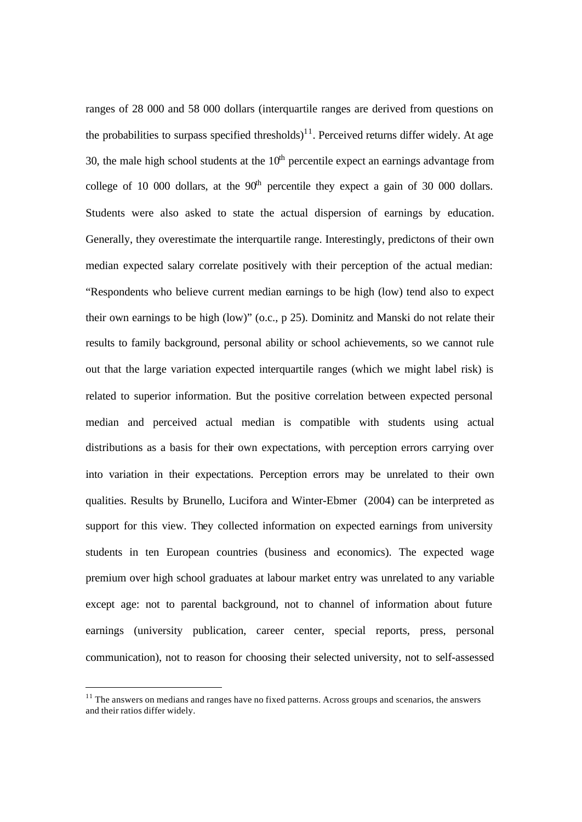ranges of 28 000 and 58 000 dollars (interquartile ranges are derived from questions on the probabilities to surpass specified thresholds)<sup>11</sup>. Perceived returns differ widely. At age 30, the male high school students at the  $10<sup>th</sup>$  percentile expect an earnings advantage from college of 10 000 dollars, at the  $90<sup>th</sup>$  percentile they expect a gain of 30 000 dollars. Students were also asked to state the actual dispersion of earnings by education. Generally, they overestimate the interquartile range. Interestingly, predictons of their own median expected salary correlate positively with their perception of the actual median: "Respondents who believe current median earnings to be high (low) tend also to expect their own earnings to be high (low)" (o.c., p 25). Dominitz and Manski do not relate their results to family background, personal ability or school achievements, so we cannot rule out that the large variation expected interquartile ranges (which we might label risk) is related to superior information. But the positive correlation between expected personal median and perceived actual median is compatible with students using actual distributions as a basis for their own expectations, with perception errors carrying over into variation in their expectations. Perception errors may be unrelated to their own qualities. Results by Brunello, Lucifora and Winter-Ebmer (2004) can be interpreted as support for this view. They collected information on expected earnings from university students in ten European countries (business and economics). The expected wage premium over high school graduates at labour market entry was unrelated to any variable except age: not to parental background, not to channel of information about future earnings (university publication, career center, special reports, press, personal communication), not to reason for choosing their selected university, not to self-assessed

 $11$  The answers on medians and ranges have no fixed patterns. Across groups and scenarios, the answers and their ratios differ widely.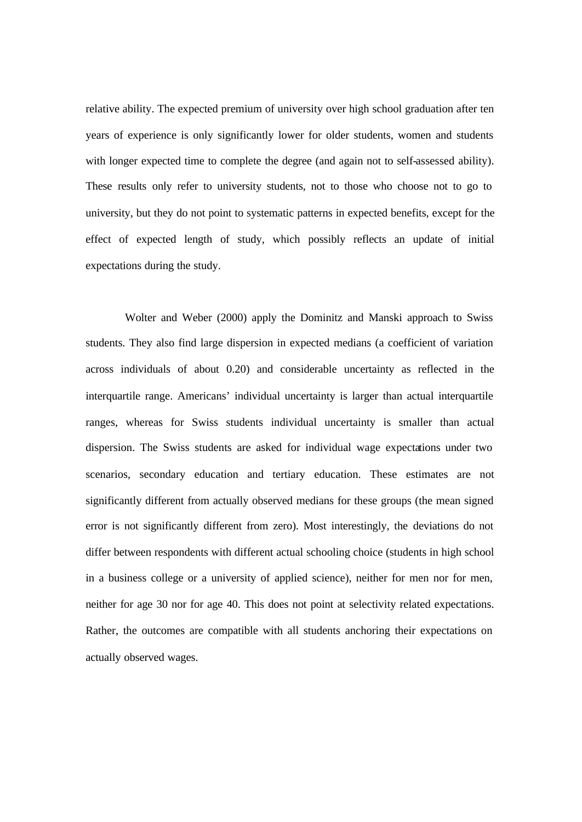relative ability. The expected premium of university over high school graduation after ten years of experience is only significantly lower for older students, women and students with longer expected time to complete the degree (and again not to self-assessed ability). These results only refer to university students, not to those who choose not to go to university, but they do not point to systematic patterns in expected benefits, except for the effect of expected length of study, which possibly reflects an update of initial expectations during the study.

 Wolter and Weber (2000) apply the Dominitz and Manski approach to Swiss students. They also find large dispersion in expected medians (a coefficient of variation across individuals of about 0.20) and considerable uncertainty as reflected in the interquartile range. Americans' individual uncertainty is larger than actual interquartile ranges, whereas for Swiss students individual uncertainty is smaller than actual dispersion. The Swiss students are asked for individual wage expectations under two scenarios, secondary education and tertiary education. These estimates are not significantly different from actually observed medians for these groups (the mean signed error is not significantly different from zero). Most interestingly, the deviations do not differ between respondents with different actual schooling choice (students in high school in a business college or a university of applied science), neither for men nor for men, neither for age 30 nor for age 40. This does not point at selectivity related expectations. Rather, the outcomes are compatible with all students anchoring their expectations on actually observed wages.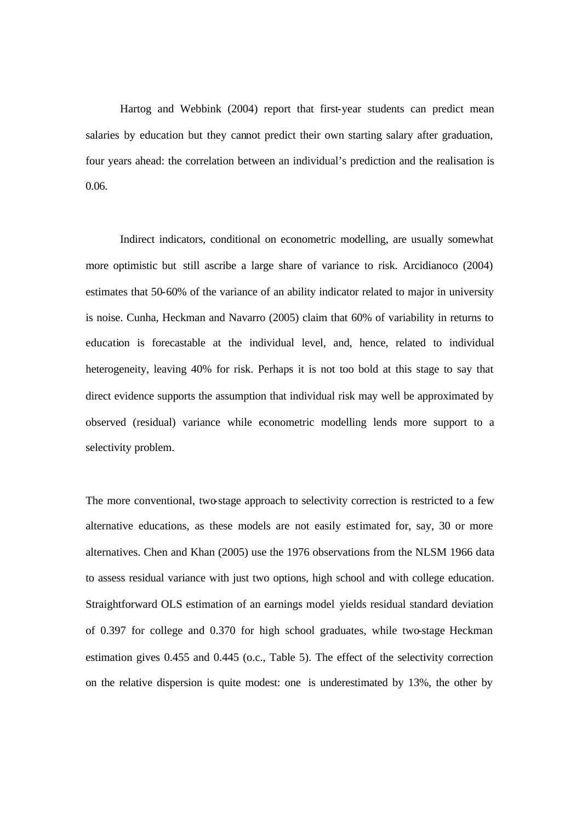Hartog and Webbink (2004) report that first-year students can predict mean salaries by education but they cannot predict their own starting salary after graduation, four years ahead: the correlation between an individual's prediction and the realisation is 0.06.

Indirect indicators, conditional on econometric modelling, are usually somewhat more optimistic but still ascribe a large share of variance to risk. Arcidianoco (2004) estimates that 50-60% of the variance of an ability indicator related to major in university is noise. Cunha, Heckman and Navarro (2005) claim that 60% of variability in returns to education is forecastable at the individual level, and, hence, related to individual heterogeneity, leaving 40% for risk. Perhaps it is not too bold at this stage to say that direct evidence supports the assumption that individual risk may well be approximated by observed (residual) variance while econometric modelling lends more support to a selectivity problem.

The more conventional, two-stage approach to selectivity correction is restricted to a few alternative educations, as these models are not easily estimated for, say, 30 or more alternatives. Chen and Khan (2005) use the 1976 observations from the NLSM 1966 data to assess residual variance with just two options, high school and with college education. Straightforward OLS estimation of an earnings model yields residual standard deviation of 0.397 for college and 0.370 for high school graduates, while two-stage Heckman estimation gives 0.455 and 0.445 (o.c., Table 5). The effect of the selectivity correction on the relative dispersion is quite modest: one is underestimated by 13%, the other by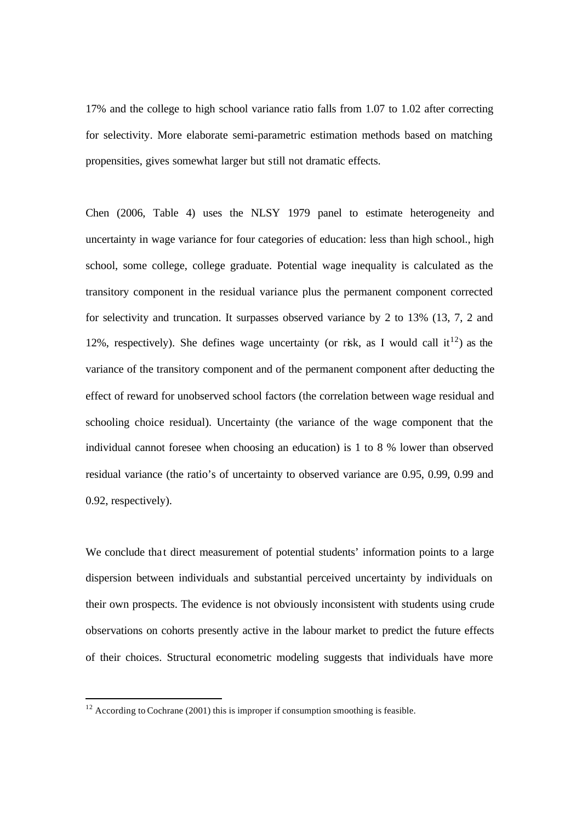17% and the college to high school variance ratio falls from 1.07 to 1.02 after correcting for selectivity. More elaborate semi-parametric estimation methods based on matching propensities, gives somewhat larger but still not dramatic effects.

Chen (2006, Table 4) uses the NLSY 1979 panel to estimate heterogeneity and uncertainty in wage variance for four categories of education: less than high school., high school, some college, college graduate. Potential wage inequality is calculated as the transitory component in the residual variance plus the permanent component corrected for selectivity and truncation. It surpasses observed variance by 2 to 13% (13, 7, 2 and 12%, respectively). She defines wage uncertainty (or risk, as I would call it<sup>12</sup>) as the variance of the transitory component and of the permanent component after deducting the effect of reward for unobserved school factors (the correlation between wage residual and schooling choice residual). Uncertainty (the variance of the wage component that the individual cannot foresee when choosing an education) is 1 to 8 % lower than observed residual variance (the ratio's of uncertainty to observed variance are 0.95, 0.99, 0.99 and 0.92, respectively).

We conclude that direct measurement of potential students' information points to a large dispersion between individuals and substantial perceived uncertainty by individuals on their own prospects. The evidence is not obviously inconsistent with students using crude observations on cohorts presently active in the labour market to predict the future effects of their choices. Structural econometric modeling suggests that individuals have more

<sup>&</sup>lt;sup>12</sup> According to Cochrane (2001) this is improper if consumption smoothing is feasible.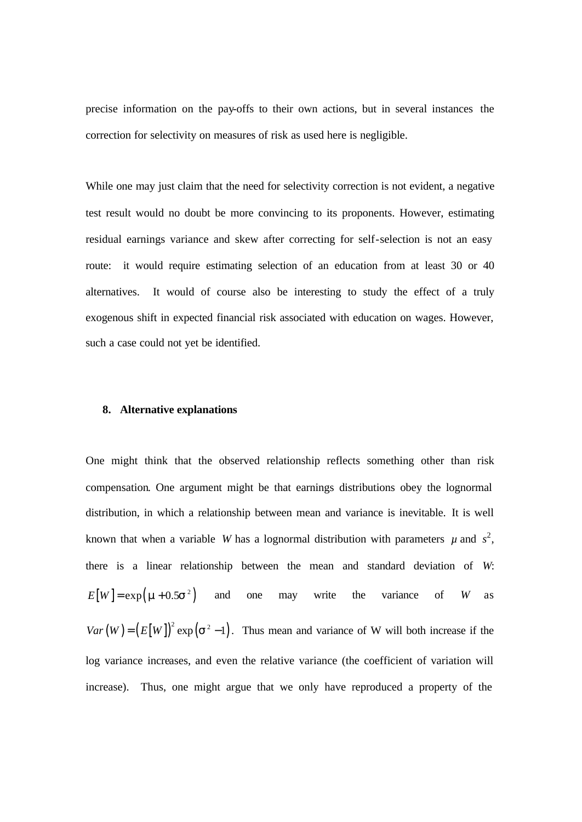precise information on the pay-offs to their own actions, but in several instances the correction for selectivity on measures of risk as used here is negligible.

While one may just claim that the need for selectivity correction is not evident, a negative test result would no doubt be more convincing to its proponents. However, estimating residual earnings variance and skew after correcting for self-selection is not an easy route: it would require estimating selection of an education from at least 30 or 40 alternatives. It would of course also be interesting to study the effect of a truly exogenous shift in expected financial risk associated with education on wages. However, such a case could not yet be identified.

#### **8. Alternative explanations**

One might think that the observed relationship reflects something other than risk compensation. One argument might be that earnings distributions obey the lognormal distribution, in which a relationship between mean and variance is inevitable. It is well known that when a variable *W* has a lognormal distribution with parameters  $\mu$  and  $s^2$ , there is a linear relationship between the mean and standard deviation of *W*:  $E[W] = \exp(m + 0.5s^2)$  and one may write the variance of *W* as  $Var(W) = (E[W])^2 exp(s^2-1)$ . Thus mean and variance of W will both increase if the log variance increases, and even the relative variance (the coefficient of variation will increase). Thus, one might argue that we only have reproduced a property of the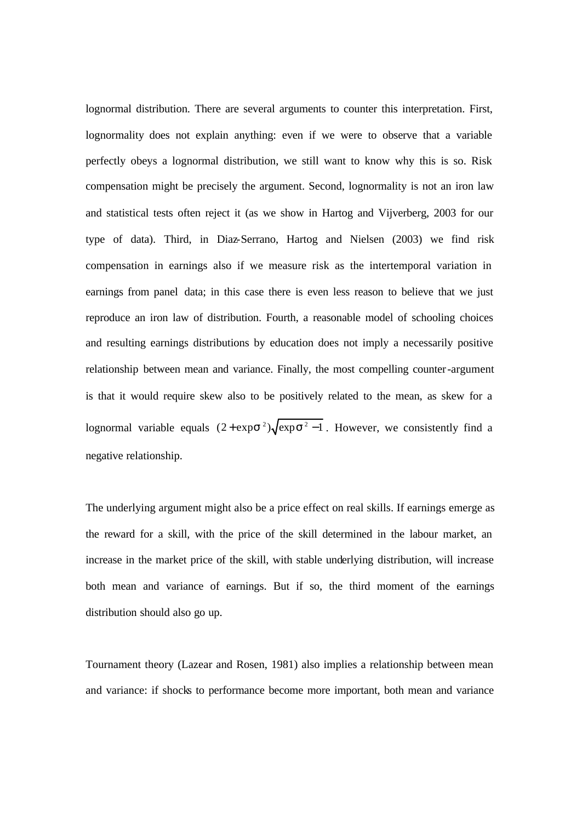lognormal distribution. There are several arguments to counter this interpretation. First, lognormality does not explain anything: even if we were to observe that a variable perfectly obeys a lognormal distribution, we still want to know why this is so. Risk compensation might be precisely the argument. Second, lognormality is not an iron law and statistical tests often reject it (as we show in Hartog and Vijverberg, 2003 for our type of data). Third, in Diaz-Serrano, Hartog and Nielsen (2003) we find risk compensation in earnings also if we measure risk as the intertemporal variation in earnings from panel data; in this case there is even less reason to believe that we just reproduce an iron law of distribution. Fourth, a reasonable model of schooling choices and resulting earnings distributions by education does not imply a necessarily positive relationship between mean and variance. Finally, the most compelling counter-argument is that it would require skew also to be positively related to the mean, as skew for a lognormal variable equals  $(2 + \exp s^2) \sqrt{\exp s^2 - 1}$ . However, we consistently find a negative relationship.

The underlying argument might also be a price effect on real skills. If earnings emerge as the reward for a skill, with the price of the skill determined in the labour market, an increase in the market price of the skill, with stable underlying distribution, will increase both mean and variance of earnings. But if so, the third moment of the earnings distribution should also go up.

Tournament theory (Lazear and Rosen, 1981) also implies a relationship between mean and variance: if shocks to performance become more important, both mean and variance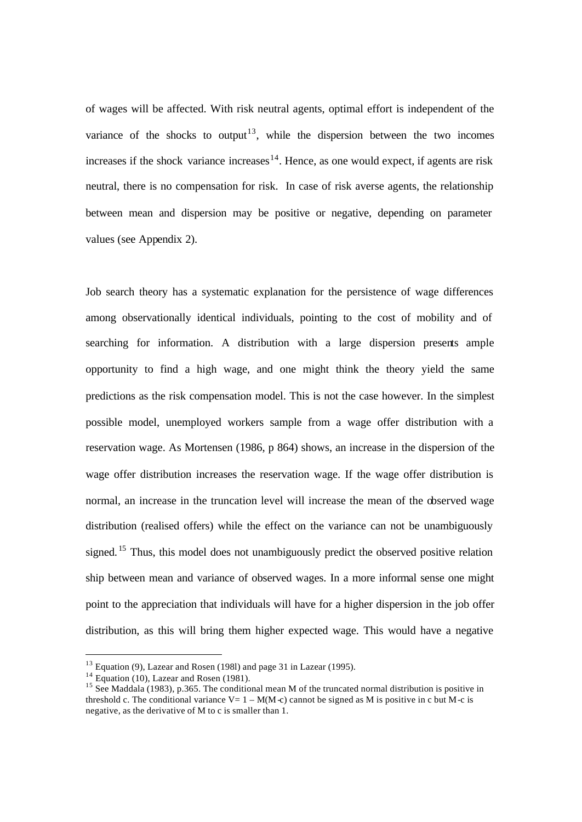of wages will be affected. With risk neutral agents, optimal effort is independent of the variance of the shocks to output<sup>13</sup>, while the dispersion between the two incomes increases if the shock variance increases  $14$ . Hence, as one would expect, if agents are risk neutral, there is no compensation for risk. In case of risk averse agents, the relationship between mean and dispersion may be positive or negative, depending on parameter values (see Appendix 2).

Job search theory has a systematic explanation for the persistence of wage differences among observationally identical individuals, pointing to the cost of mobility and of searching for information. A distribution with a large dispersion presents ample opportunity to find a high wage, and one might think the theory yield the same predictions as the risk compensation model. This is not the case however. In the simplest possible model, unemployed workers sample from a wage offer distribution with a reservation wage. As Mortensen (1986, p 864) shows, an increase in the dispersion of the wage offer distribution increases the reservation wage. If the wage offer distribution is normal, an increase in the truncation level will increase the mean of the observed wage distribution (realised offers) while the effect on the variance can not be unambiguously signed.<sup>15</sup> Thus, this model does not unambiguously predict the observed positive relation ship between mean and variance of observed wages. In a more informal sense one might point to the appreciation that individuals will have for a higher dispersion in the job offer distribution, as this will bring them higher expected wage. This would have a negative

 $\overline{a}$ 

<sup>13</sup> Equation (9), Lazear and Rosen (198l) and page 31 in Lazear (1995).

 $14$  Equation (10), Lazear and Rosen (1981).

<sup>&</sup>lt;sup>15</sup> See Maddala (1983), p.365. The conditional mean M of the truncated normal distribution is positive in threshold c. The conditional variance  $V= 1 - M(M-c)$  cannot be signed as M is positive in c but M-c is negative, as the derivative of M to c is smaller than 1.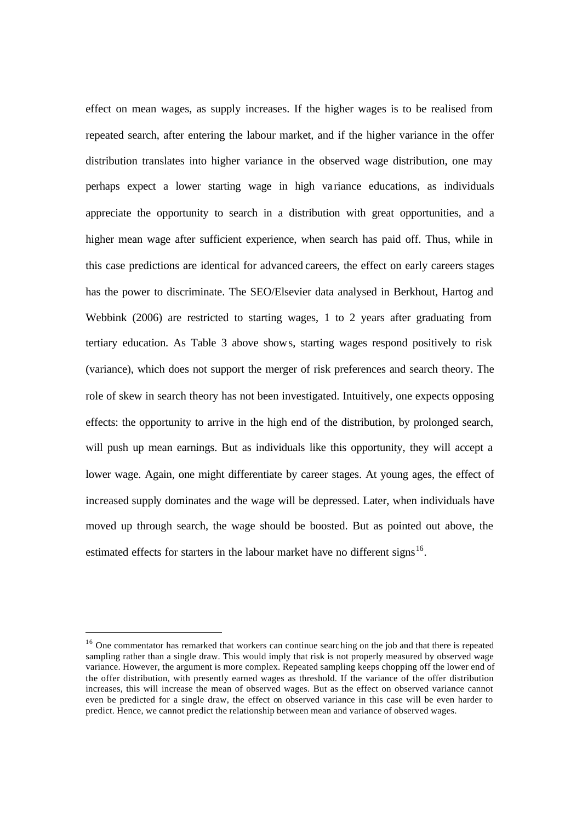effect on mean wages, as supply increases. If the higher wages is to be realised from repeated search, after entering the labour market, and if the higher variance in the offer distribution translates into higher variance in the observed wage distribution, one may perhaps expect a lower starting wage in high va riance educations, as individuals appreciate the opportunity to search in a distribution with great opportunities, and a higher mean wage after sufficient experience, when search has paid off. Thus, while in this case predictions are identical for advanced careers, the effect on early careers stages has the power to discriminate. The SEO/Elsevier data analysed in Berkhout, Hartog and Webbink (2006) are restricted to starting wages, 1 to 2 years after graduating from tertiary education. As Table 3 above shows, starting wages respond positively to risk (variance), which does not support the merger of risk preferences and search theory. The role of skew in search theory has not been investigated. Intuitively, one expects opposing effects: the opportunity to arrive in the high end of the distribution, by prolonged search, will push up mean earnings. But as individuals like this opportunity, they will accept a lower wage. Again, one might differentiate by career stages. At young ages, the effect of increased supply dominates and the wage will be depressed. Later, when individuals have moved up through search, the wage should be boosted. But as pointed out above, the estimated effects for starters in the labour market have no different signs<sup>16</sup>.

 $\overline{a}$ 

<sup>&</sup>lt;sup>16</sup> One commentator has remarked that workers can continue searching on the job and that there is repeated sampling rather than a single draw. This would imply that risk is not properly measured by observed wage variance. However, the argument is more complex. Repeated sampling keeps chopping off the lower end of the offer distribution, with presently earned wages as threshold. If the variance of the offer distribution increases, this will increase the mean of observed wages. But as the effect on observed variance cannot even be predicted for a single draw, the effect on observed variance in this case will be even harder to predict. Hence, we cannot predict the relationship between mean and variance of observed wages.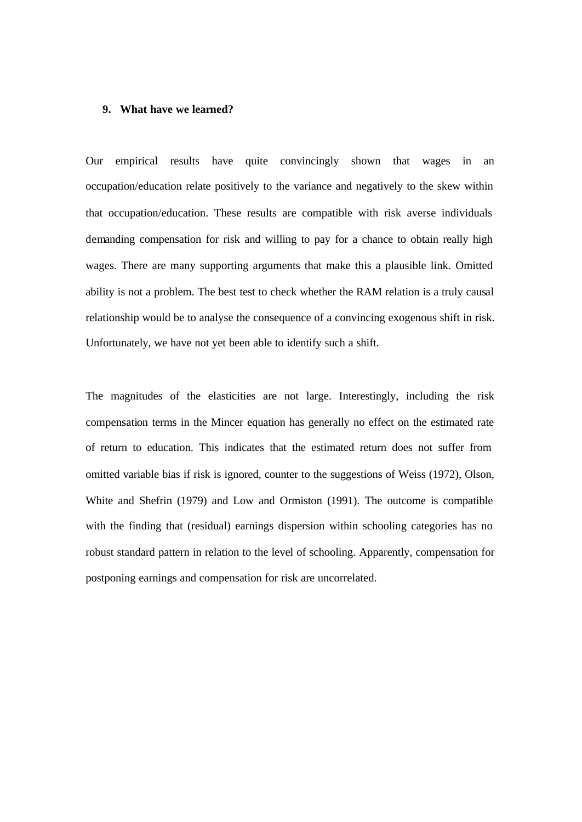#### **9. What have we learned?**

Our empirical results have quite convincingly shown that wages in an occupation/education relate positively to the variance and negatively to the skew within that occupation/education. These results are compatible with risk averse individuals demanding compensation for risk and willing to pay for a chance to obtain really high wages. There are many supporting arguments that make this a plausible link. Omitted ability is not a problem. The best test to check whether the RAM relation is a truly causal relationship would be to analyse the consequence of a convincing exogenous shift in risk. Unfortunately, we have not yet been able to identify such a shift.

The magnitudes of the elasticities are not large. Interestingly, including the risk compensation terms in the Mincer equation has generally no effect on the estimated rate of return to education. This indicates that the estimated return does not suffer from omitted variable bias if risk is ignored, counter to the suggestions of Weiss (1972), Olson, White and Shefrin (1979) and Low and Ormiston (1991). The outcome is compatible with the finding that (residual) earnings dispersion within schooling categories has no robust standard pattern in relation to the level of schooling. Apparently, compensation for postponing earnings and compensation for risk are uncorrelated.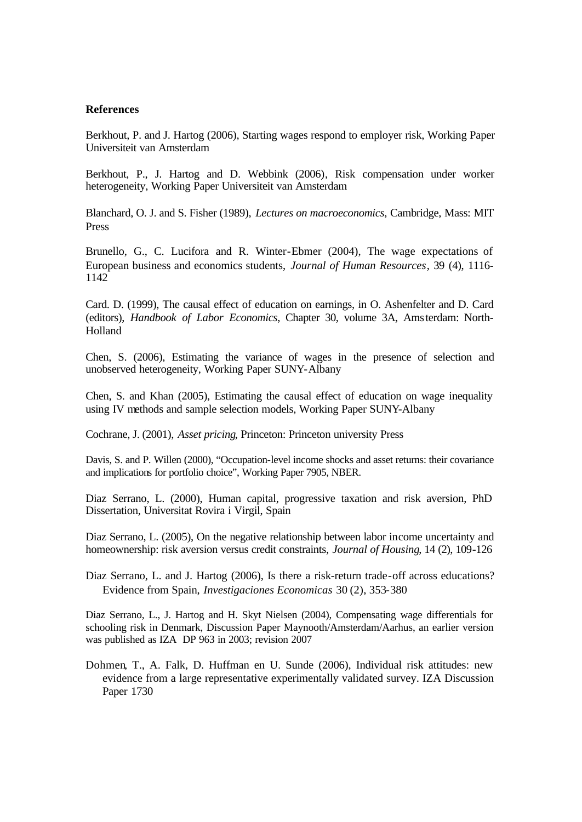#### **References**

Berkhout, P. and J. Hartog (2006), Starting wages respond to employer risk, Working Paper Universiteit van Amsterdam

Berkhout, P., J. Hartog and D. Webbink (2006), Risk compensation under worker heterogeneity, Working Paper Universiteit van Amsterdam

Blanchard, O. J. and S. Fisher (1989), *Lectures on macroeconomics*, Cambridge, Mass: MIT Press

Brunello, G., C. Lucifora and R. Winter-Ebmer (2004), The wage expectations of European business and economics students, *Journal of Human Resources*, 39 (4), 1116- 1142

Card. D. (1999), The causal effect of education on earnings, in O. Ashenfelter and D. Card (editors), *Handbook of Labor Economics*, Chapter 30, volume 3A, Amsterdam: North-Holland

Chen, S. (2006), Estimating the variance of wages in the presence of selection and unobserved heterogeneity, Working Paper SUNY-Albany

Chen, S. and Khan (2005), Estimating the causal effect of education on wage inequality using IV methods and sample selection models, Working Paper SUNY-Albany

Cochrane, J. (2001), *Asset pricing*, Princeton: Princeton university Press

Davis, S. and P. Willen (2000), "Occupation-level income shocks and asset returns: their covariance and implications for portfolio choice", Working Paper 7905, NBER.

Diaz Serrano, L. (2000), Human capital, progressive taxation and risk aversion, PhD Dissertation, Universitat Rovira i Virgil, Spain

Diaz Serrano, L. (2005), On the negative relationship between labor income uncertainty and homeownership: risk aversion versus credit constraints, *Journal of Housing*, 14 (2), 109-126

Diaz Serrano, L. and J. Hartog (2006), Is there a risk-return trade-off across educations? Evidence from Spain, *Investigaciones Economicas* 30 (2), 353-380

Diaz Serrano, L., J. Hartog and H. Skyt Nielsen (2004), Compensating wage differentials for schooling risk in Denmark, Discussion Paper Maynooth/Amsterdam/Aarhus, an earlier version was published as IZA DP 963 in 2003; revision 2007

Dohmen, T., A. Falk, D. Huffman en U. Sunde (2006), Individual risk attitudes: new evidence from a large representative experimentally validated survey. IZA Discussion Paper 1730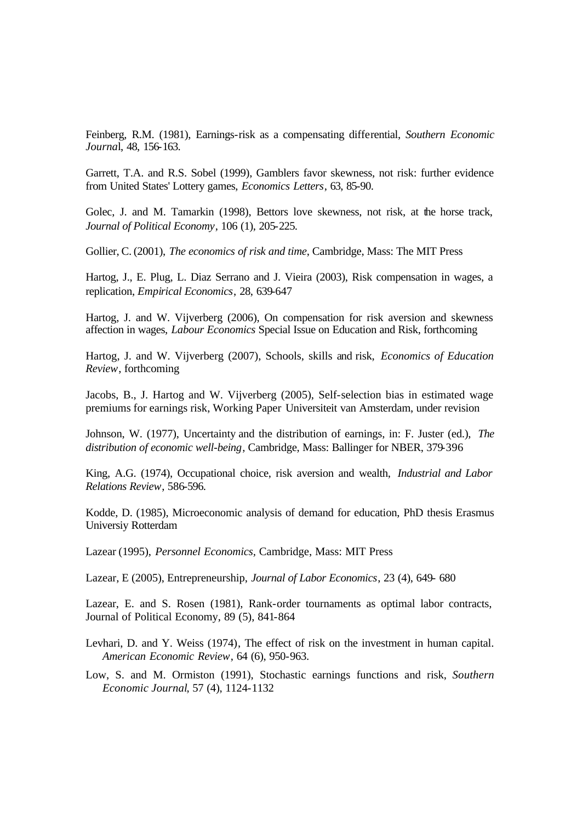Feinberg, R.M. (1981), Earnings-risk as a compensating differential, *Southern Economic Journa*l, 48, 156-163.

Garrett, T.A. and R.S. Sobel (1999), Gamblers favor skewness, not risk: further evidence from United States' Lottery games, *Economics Letters*, 63, 85-90.

Golec, J. and M. Tamarkin (1998), Bettors love skewness, not risk, at the horse track, *Journal of Political Economy*, 106 (1), 205-225.

Gollier, C. (2001), *The economics of risk and time*, Cambridge, Mass: The MIT Press

Hartog, J., E. Plug, L. Diaz Serrano and J. Vieira (2003), Risk compensation in wages, a replication, *Empirical Economics*, 28, 639-647

Hartog, J. and W. Vijverberg (2006), On compensation for risk aversion and skewness affection in wages, *Labour Economics* Special Issue on Education and Risk, forthcoming

Hartog, J. and W. Vijverberg (2007), Schools, skills and risk, *Economics of Education Review*, forthcoming

Jacobs, B., J. Hartog and W. Vijverberg (2005), Self-selection bias in estimated wage premiums for earnings risk, Working Paper Universiteit van Amsterdam, under revision

Johnson, W. (1977), Uncertainty and the distribution of earnings, in: F. Juster (ed.), *The distribution of economic well-being*, Cambridge, Mass: Ballinger for NBER, 379-396

King, A.G. (1974), Occupational choice, risk aversion and wealth, *Industrial and Labor Relations Review*, 586-596.

Kodde, D. (1985), Microeconomic analysis of demand for education, PhD thesis Erasmus Universiy Rotterdam

Lazear (1995), *Personnel Economics,* Cambridge, Mass: MIT Press

Lazear, E (2005), Entrepreneurship, *Journal of Labor Economics*, 23 (4), 649- 680

Lazear, E. and S. Rosen (1981), Rank-order tournaments as optimal labor contracts, Journal of Political Economy, 89 (5), 841-864

Levhari, D. and Y. Weiss (1974), The effect of risk on the investment in human capital. *American Economic Review*, 64 (6), 950-963.

Low, S. and M. Ormiston (1991), Stochastic earnings functions and risk, *Southern Economic Journal*, 57 (4), 1124-1132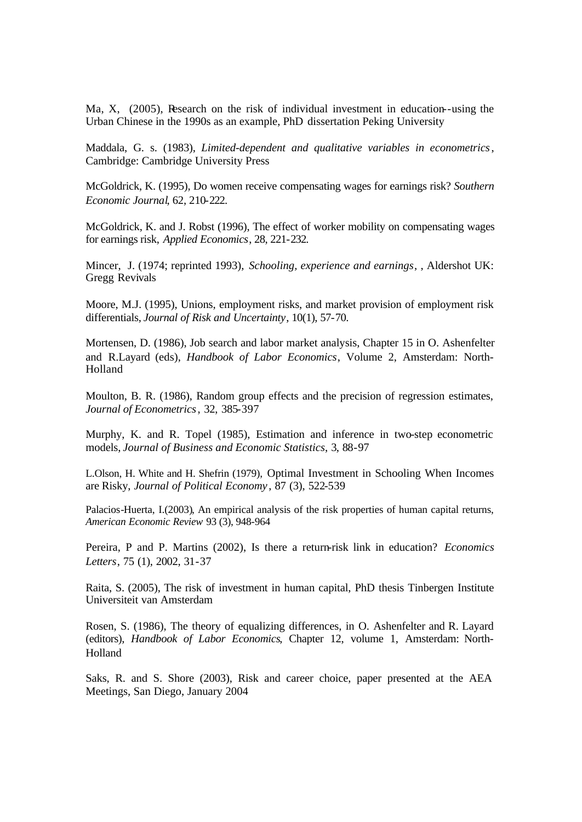Ma, X, (2005), Research on the risk of individual investment in education--using the Urban Chinese in the 1990s as an example, PhD dissertation Peking University

Maddala, G. s. (1983), *Limited-dependent and qualitative variables in econometrics*, Cambridge: Cambridge University Press

McGoldrick, K. (1995), Do women receive compensating wages for earnings risk? *Southern Economic Journal*, 62, 210-222.

McGoldrick, K. and J. Robst (1996), The effect of worker mobility on compensating wages for earnings risk, *Applied Economics*, 28, 221-232.

Mincer, J. (1974; reprinted 1993), *Schooling, experience and earnings*, , Aldershot UK: Gregg Revivals

Moore, M.J. (1995), Unions, employment risks, and market provision of employment risk differentials, *Journal of Risk and Uncertainty*, 10(1), 57-70.

Mortensen, D. (1986), Job search and labor market analysis, Chapter 15 in O. Ashenfelter and R.Layard (eds), *Handbook of Labor Economics*, Volume 2, Amsterdam: North-Holland

Moulton, B. R. (1986), Random group effects and the precision of regression estimates, *Journal of Econometrics*, 32, 385-397

Murphy, K. and R. Topel (1985), Estimation and inference in two-step econometric models, *Journal of Business and Economic Statistics*, 3, 88-97

L.Olson, H. White and H. Shefrin (1979), Optimal Investment in Schooling When Incomes are Risky, *Journal of Political Economy* , 87 (3), 522-539

Palacios-Huerta, I.(2003), An empirical analysis of the risk properties of human capital returns, *American Economic Review* 93 (3), 948-964

Pereira, P and P. Martins (2002), Is there a return-risk link in education? *Economics Letters*, 75 (1), 2002, 31-37

Raita, S. (2005), The risk of investment in human capital, PhD thesis Tinbergen Institute Universiteit van Amsterdam

Rosen, S. (1986), The theory of equalizing differences, in O. Ashenfelter and R. Layard (editors), *Handbook of Labor Economics*, Chapter 12, volume 1, Amsterdam: North-Holland

Saks, R. and S. Shore (2003), Risk and career choice, paper presented at the AEA Meetings, San Diego, January 2004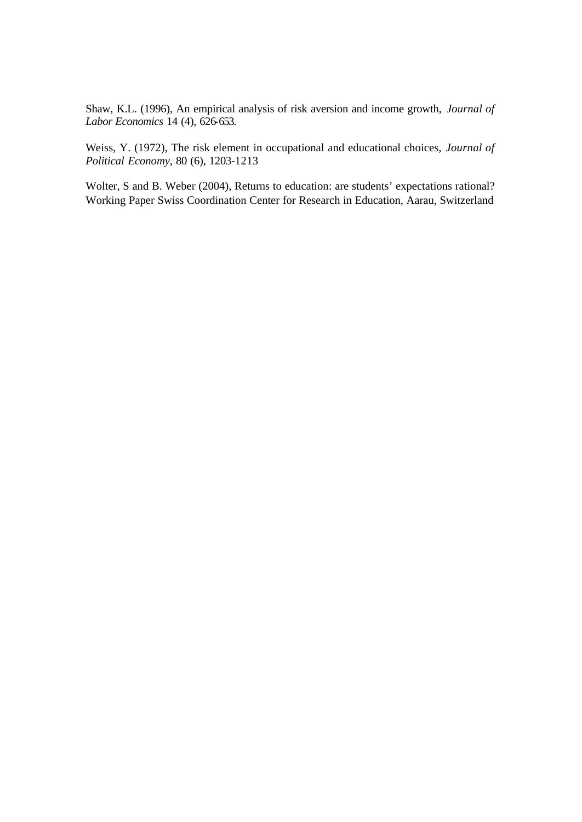Shaw, K.L. (1996), An empirical analysis of risk aversion and income growth, *Journal of Labor Economics* 14 (4), 626-653.

Weiss, Y. (1972), The risk element in occupational and educational choices, *Journal of Political Economy*, 80 (6), 1203-1213

Wolter, S and B. Weber (2004), Returns to education: are students' expectations rational? Working Paper Swiss Coordination Center for Research in Education, Aarau, Switzerland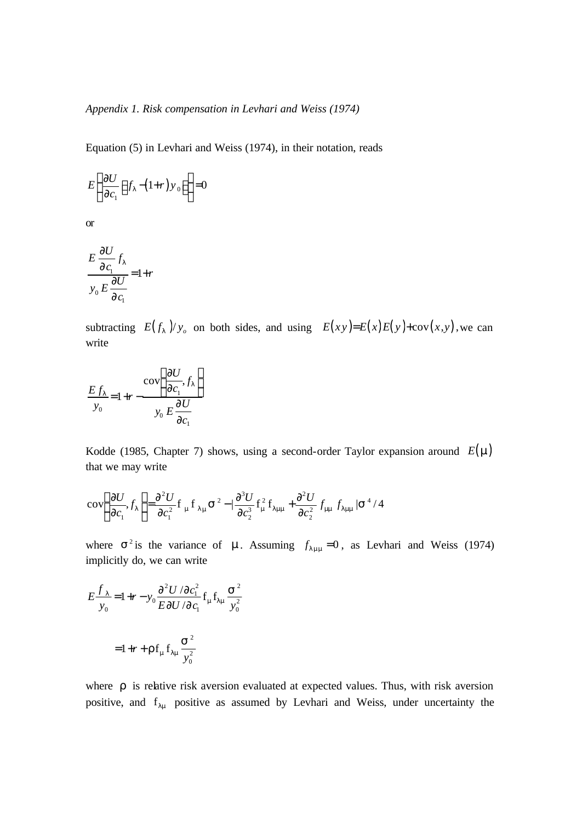#### *Appendix 1. Risk compensation in Levhari and Weiss (1974)*

Equation (5) in Levhari and Weiss (1974), in their notation, reads

$$
E\left\{\frac{\partial U}{\partial c_1}\Big[f_1-(1+r)\,y_0\Big]\right\}=0
$$

or

$$
\frac{E \frac{\partial U}{\partial c_1} f_I}{y_0 E \frac{\partial U}{\partial c_1}} = 1 + r
$$

subtracting  $E(f_1) / y_o$  on both sides, and using  $E(xy) = E(x)E(y) + cov(x, y)$ , we can write

$$
\frac{Ef_1}{y_0} = 1 + r - \frac{\text{cov}\left(\frac{\partial U}{\partial c_1}, f_1\right)}{y_0 E \frac{\partial U}{\partial c_1}}
$$

Kodde (1985, Chapter 7) shows, using a second-order Taylor expansion around *E*(*m*) that we may write

$$
\text{cov}\left(\frac{\partial U}{\partial c_1}, f_1\right) = \frac{\partial^2 U}{\partial c_1^2} \mathbf{f}_{m} \mathbf{f}_{l} \mathbf{f}_{m} \mathbf{S}^2 - \left|\frac{\partial^3 U}{\partial c_2^3} \mathbf{f}_{m}^2 \mathbf{f}_{l} \mathbf{f}_{l} \mathbf{f}_{m} + \frac{\partial^2 U}{\partial c_2^2} f_{m} \mathbf{f}_{l} \mathbf{f}_{l} \mathbf{f}_{m} \right| \mathbf{S}^4 / 4
$$

where  $s^2$  is the variance of **m**. Assuming  $f_{lmm} = 0$ , as Levhari and Weiss (1974) implicitly do, we can write

$$
E \frac{f_1}{y_0} = 1 + r - y_0 \frac{\partial^2 U}{\partial C_1} \frac{\partial^2 U}{\partial c_1} f_m f_{lm} \frac{\mathbf{s}^2}{y_0^2}
$$

$$
= 1 + r + r f_m f_{lm} \frac{\mathbf{s}^2}{y_0^2}
$$

where  $r$  is relative risk aversion evaluated at expected values. Thus, with risk aversion positive, and f *lm* positive as assumed by Levhari and Weiss, under uncertainty the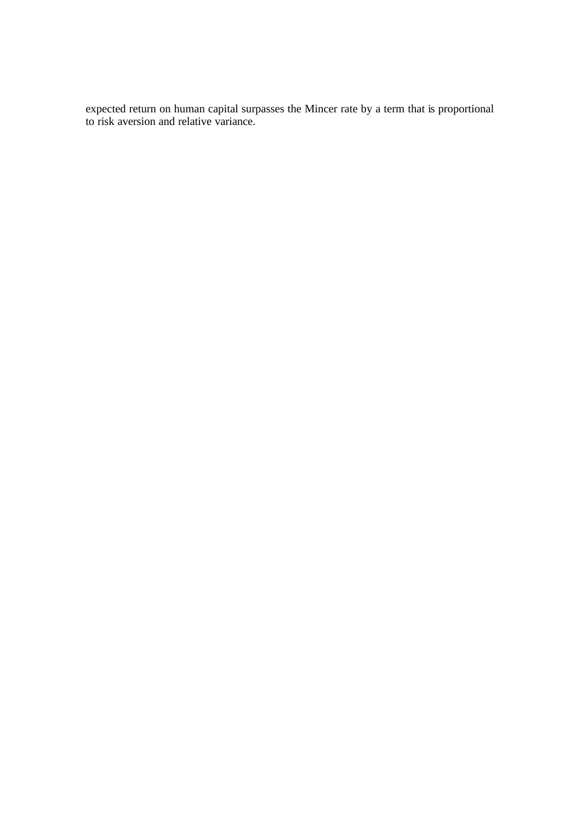expected return on human capital surpasses the Mincer rate by a term that is proportional to risk aversion and relative variance.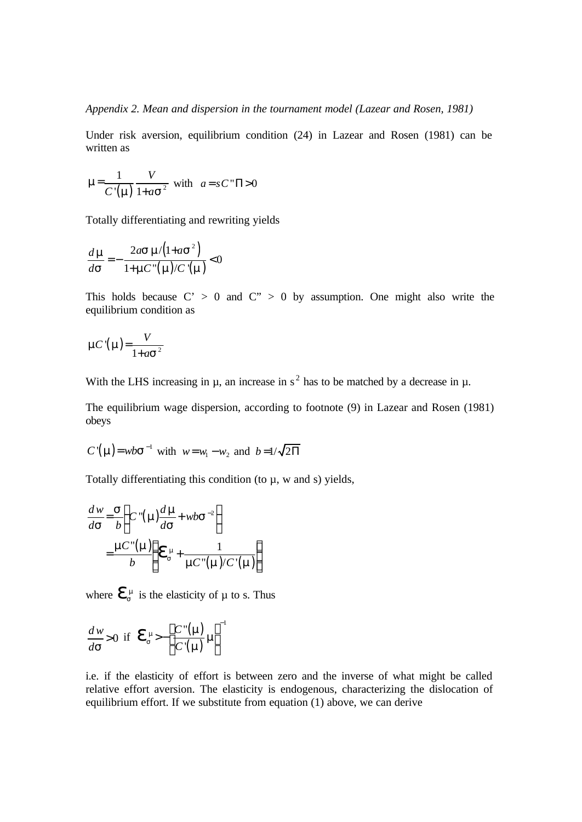*Appendix 2. Mean and dispersion in the tournament model (Lazear and Rosen, 1981)*

Under risk aversion, equilibrium condition (24) in Lazear and Rosen (1981) can be written as

$$
\mathbf{m} = \frac{1}{C'(\mathbf{m})} \frac{V}{1 + a\mathbf{s}^2} \text{ with } a = sC \text{``II} > 0
$$

Totally differentiating and rewriting yields

$$
\frac{d\mathbf{m}}{d\mathbf{s}} = -\frac{2a\mathbf{s}}{1 + \mathbf{m}C''(\mathbf{m})/C'(\mathbf{m})} < 0
$$

This holds because  $C' > 0$  and  $C'' > 0$  by assumption. One might also write the equilibrium condition as

$$
mC'(m) = \frac{V}{1 + aS^2}
$$

With the LHS increasing in  $\mu$ , an increase in s<sup>2</sup> has to be matched by a decrease in  $\mu$ .

The equilibrium wage dispersion, according to footnote (9) in Lazear and Rosen (1981) obeys

$$
C'(\mathbf{m}) = w b \mathbf{s}^{-1}
$$
 with  $w = w_1 - w_2$  and  $b = 1/\sqrt{2\Pi}$ 

Totally differentiating this condition (to µ, w and s) yields,

$$
\frac{dw}{ds} = \frac{s}{b} \left\{ C''(\mathbf{m}) \frac{d \mathbf{m}}{ds} + wbs^{-2} \right\}
$$

$$
= \frac{\mathbf{m}C''(\mathbf{m})}{b} \left\{ \mathbf{C}_s^{\mathbf{m}} + \frac{1}{\mathbf{m}C''(\mathbf{m})/C'(\mathbf{m})} \right\}
$$

where  $\mathbf{\mathbf{\mathcal{C}}}_{s}^{m}$  is the elasticity of  $\mu$  to s. Thus

$$
\frac{dw}{d\mathbf{s}} > 0 \text{ if } \mathbf{C}^m_s > -\left[\frac{C\degree(\mathbf{m})}{C\degree(\mathbf{m})}\mathbf{m}\right]^{-1}
$$

i.e. if the elasticity of effort is between zero and the inverse of what might be called relative effort aversion. The elasticity is endogenous, characterizing the dislocation of equilibrium effort. If we substitute from equation (1) above, we can derive